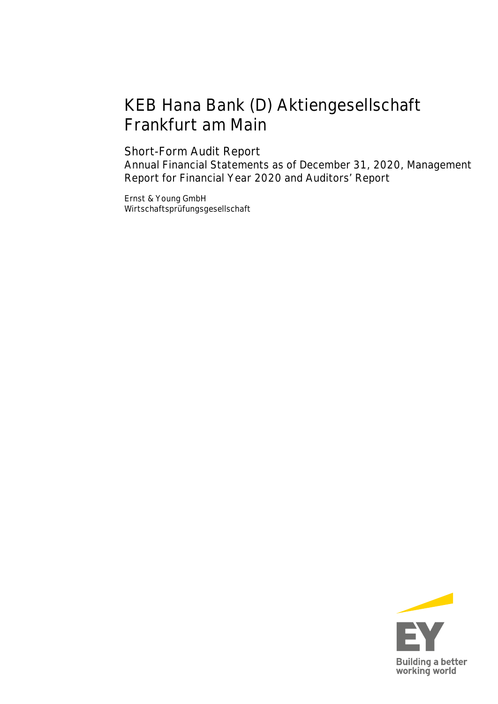# KEB Hana Bank (D) Aktiengesellschaft Frankfurt am Main

# Short-Form Audit Report

Annual Financial Statements as of December 31, 2020, Management Report for Financial Year 2020 and Auditors' Report

Ernst & Young GmbH Wirtschaftsprüfungsgesellschaft

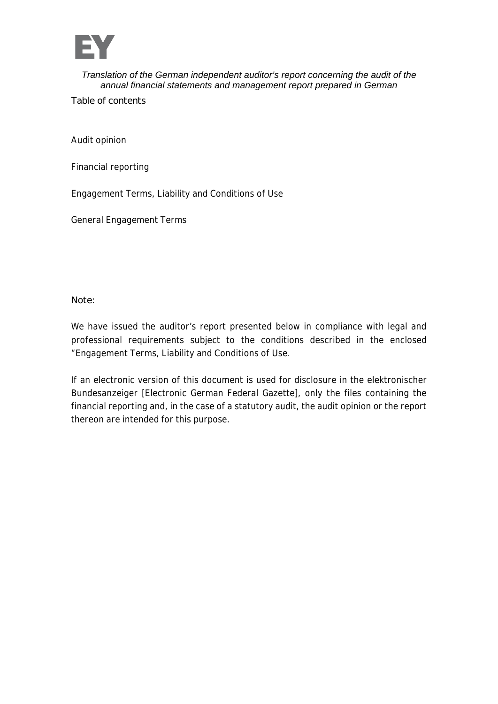

Table of contents

Audit opinion

Financial reporting

Engagement Terms, Liability and Conditions of Use

General Engagement Terms

**Note:**

We have issued the auditor's report presented below in compliance with legal and professional requirements subject to the conditions described in the enclosed "Engagement Terms, Liability and Conditions of Use.

If an electronic version of this document is used for disclosure in the elektronischer Bundesanzeiger [Electronic German Federal Gazette], only the files containing the financial reporting and, in the case of a statutory audit, the audit opinion or the report thereon are intended for this purpose.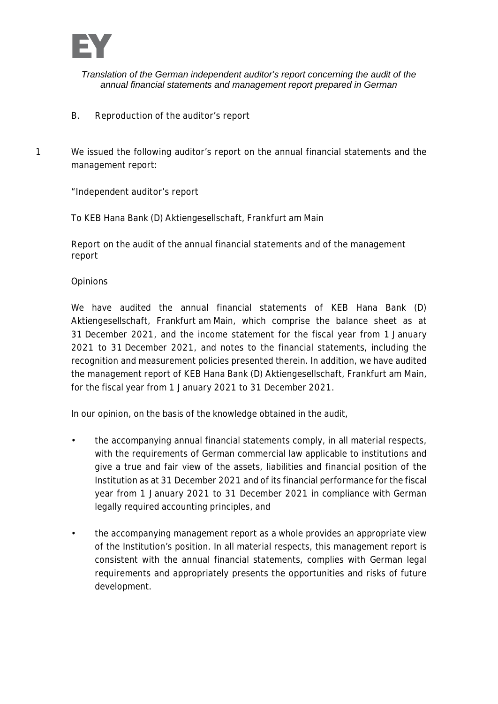

- B. Reproduction of the auditor's report
- 1 We issued the following auditor's report on the annual financial statements and the management report:

"Independent auditor's report

To KEB Hana Bank (D) Aktiengesellschaft, Frankfurt am Main

Report on the audit of the annual financial statements and of the management report

**Opinions** 

We have audited the annual financial statements of KEB Hana Bank (D) Aktiengesellschaft, Frankfurt am Main, which comprise the balance sheet as at 31 December 2021, and the income statement for the fiscal year from 1 January 2021 to 31 December 2021, and notes to the financial statements, including the recognition and measurement policies presented therein. In addition, we have audited the management report of KEB Hana Bank (D) Aktiengesellschaft, Frankfurt am Main, for the fiscal year from 1 January 2021 to 31 December 2021.

In our opinion, on the basis of the knowledge obtained in the audit,

- the accompanying annual financial statements comply, in all material respects, with the requirements of German commercial law applicable to institutions and give a true and fair view of the assets, liabilities and financial position of the Institution as at 31 December 2021 and of its financial performance for the fiscal year from 1 January 2021 to 31 December 2021 in compliance with German legally required accounting principles, and
- the accompanying management report as a whole provides an appropriate view of the Institution's position. In all material respects, this management report is consistent with the annual financial statements, complies with German legal requirements and appropriately presents the opportunities and risks of future development.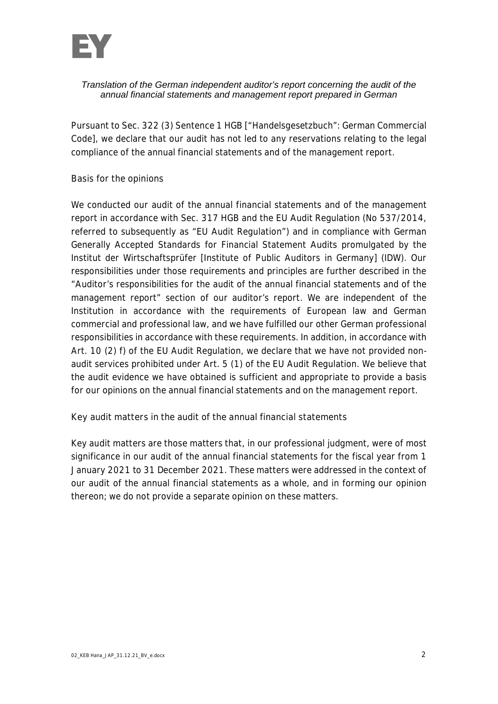

Pursuant to Sec. 322 (3) Sentence 1 HGB ["Handelsgesetzbuch": German Commercial Code], we declare that our audit has not led to any reservations relating to the legal compliance of the annual financial statements and of the management report.

#### Basis for the opinions

We conducted our audit of the annual financial statements and of the management report in accordance with Sec. 317 HGB and the EU Audit Regulation (No 537/2014, referred to subsequently as "EU Audit Regulation") and in compliance with German Generally Accepted Standards for Financial Statement Audits promulgated by the Institut der Wirtschaftsprüfer [Institute of Public Auditors in Germany] (IDW). Our responsibilities under those requirements and principles are further described in the "Auditor's responsibilities for the audit of the annual financial statements and of the management report" section of our auditor's report. We are independent of the Institution in accordance with the requirements of European law and German commercial and professional law, and we have fulfilled our other German professional responsibilities in accordance with these requirements. In addition, in accordance with Art. 10 (2) f) of the EU Audit Regulation, we declare that we have not provided nonaudit services prohibited under Art. 5 (1) of the EU Audit Regulation. We believe that the audit evidence we have obtained is sufficient and appropriate to provide a basis for our opinions on the annual financial statements and on the management report.

Key audit matters in the audit of the annual financial statements

Key audit matters are those matters that, in our professional judgment, were of most significance in our audit of the annual financial statements for the fiscal year from 1 January 2021 to 31 December 2021. These matters were addressed in the context of our audit of the annual financial statements as a whole, and in forming our opinion thereon; we do not provide a separate opinion on these matters.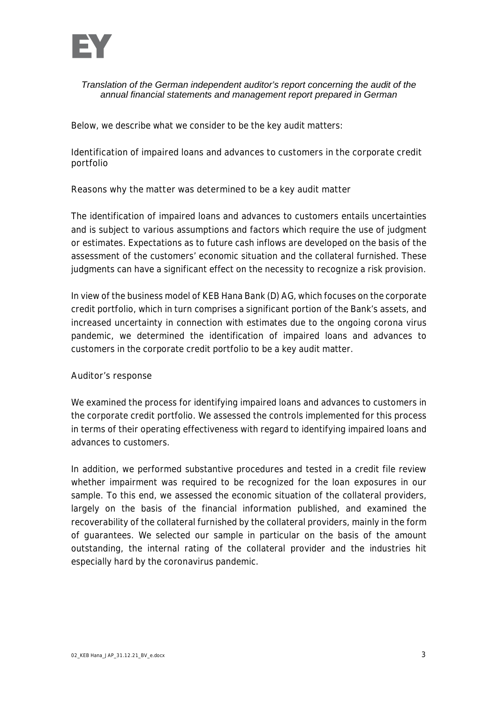

Below, we describe what we consider to be the key audit matters:

Identification of impaired loans and advances to customers in the corporate credit portfolio

Reasons why the matter was determined to be a key audit matter

The identification of impaired loans and advances to customers entails uncertainties and is subject to various assumptions and factors which require the use of judgment or estimates. Expectations as to future cash inflows are developed on the basis of the assessment of the customers' economic situation and the collateral furnished. These judgments can have a significant effect on the necessity to recognize a risk provision.

In view of the business model of KEB Hana Bank (D) AG, which focuses on the corporate credit portfolio, which in turn comprises a significant portion of the Bank's assets, and increased uncertainty in connection with estimates due to the ongoing corona virus pandemic, we determined the identification of impaired loans and advances to customers in the corporate credit portfolio to be a key audit matter.

#### Auditor's response

We examined the process for identifying impaired loans and advances to customers in the corporate credit portfolio. We assessed the controls implemented for this process in terms of their operating effectiveness with regard to identifying impaired loans and advances to customers.

In addition, we performed substantive procedures and tested in a credit file review whether impairment was required to be recognized for the loan exposures in our sample. To this end, we assessed the economic situation of the collateral providers, largely on the basis of the financial information published, and examined the recoverability of the collateral furnished by the collateral providers, mainly in the form of guarantees. We selected our sample in particular on the basis of the amount outstanding, the internal rating of the collateral provider and the industries hit especially hard by the coronavirus pandemic.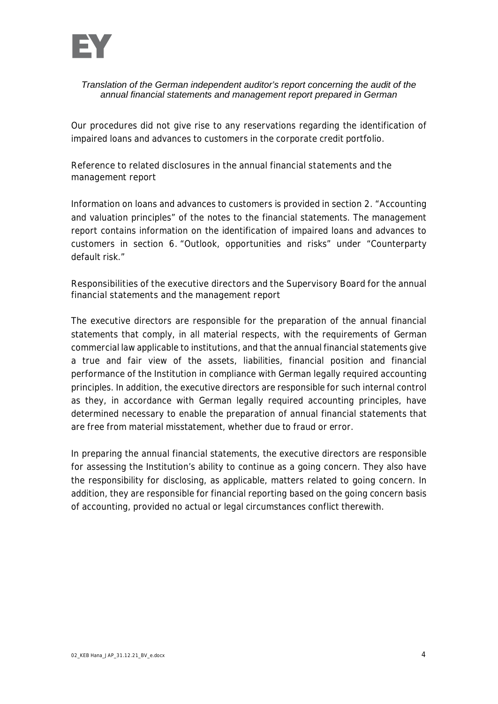

Our procedures did not give rise to any reservations regarding the identification of impaired loans and advances to customers in the corporate credit portfolio.

Reference to related disclosures in the annual financial statements and the management report

Information on loans and advances to customers is provided in section 2. "Accounting and valuation principles" of the notes to the financial statements. The management report contains information on the identification of impaired loans and advances to customers in section 6. "Outlook, opportunities and risks" under "Counterparty default risk."

Responsibilities of the executive directors and the Supervisory Board for the annual financial statements and the management report

The executive directors are responsible for the preparation of the annual financial statements that comply, in all material respects, with the requirements of German commercial law applicable to institutions, and that the annual financial statements give a true and fair view of the assets, liabilities, financial position and financial performance of the Institution in compliance with German legally required accounting principles. In addition, the executive directors are responsible for such internal control as they, in accordance with German legally required accounting principles, have determined necessary to enable the preparation of annual financial statements that are free from material misstatement, whether due to fraud or error.

In preparing the annual financial statements, the executive directors are responsible for assessing the Institution's ability to continue as a going concern. They also have the responsibility for disclosing, as applicable, matters related to going concern. In addition, they are responsible for financial reporting based on the going concern basis of accounting, provided no actual or legal circumstances conflict therewith.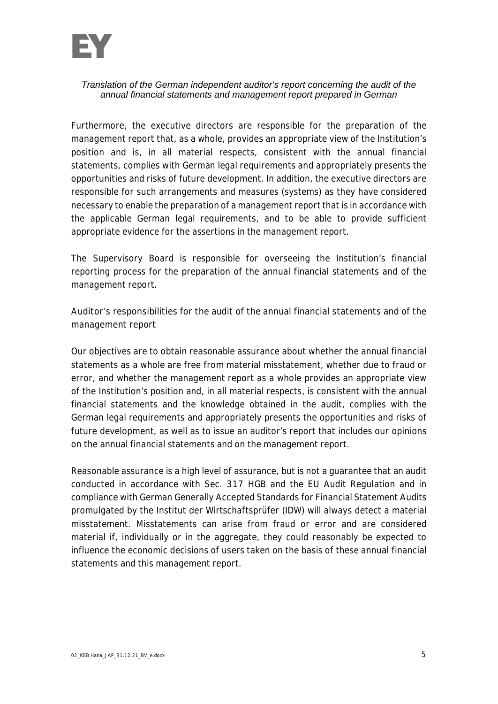

Furthermore, the executive directors are responsible for the preparation of the management report that, as a whole, provides an appropriate view of the Institution's position and is, in all material respects, consistent with the annual financial statements, complies with German legal requirements and appropriately presents the opportunities and risks of future development. In addition, the executive directors are responsible for such arrangements and measures (systems) as they have considered necessary to enable the preparation of a management report that is in accordance with the applicable German legal requirements, and to be able to provide sufficient appropriate evidence for the assertions in the management report.

The Supervisory Board is responsible for overseeing the Institution's financial reporting process for the preparation of the annual financial statements and of the management report.

**Auditor's responsibilities for the audit of the annual financial statements and of the management report**

Our objectives are to obtain reasonable assurance about whether the annual financial statements as a whole are free from material misstatement, whether due to fraud or error, and whether the management report as a whole provides an appropriate view of the Institution's position and, in all material respects, is consistent with the annual financial statements and the knowledge obtained in the audit, complies with the German legal requirements and appropriately presents the opportunities and risks of future development, as well as to issue an auditor's report that includes our opinions on the annual financial statements and on the management report.

Reasonable assurance is a high level of assurance, but is not a guarantee that an audit conducted in accordance with Sec. 317 HGB and the EU Audit Regulation and in compliance with German Generally Accepted Standards for Financial Statement Audits promulgated by the Institut der Wirtschaftsprüfer (IDW) will always detect a material misstatement. Misstatements can arise from fraud or error and are considered material if, individually or in the aggregate, they could reasonably be expected to influence the economic decisions of users taken on the basis of these annual financial statements and this management report.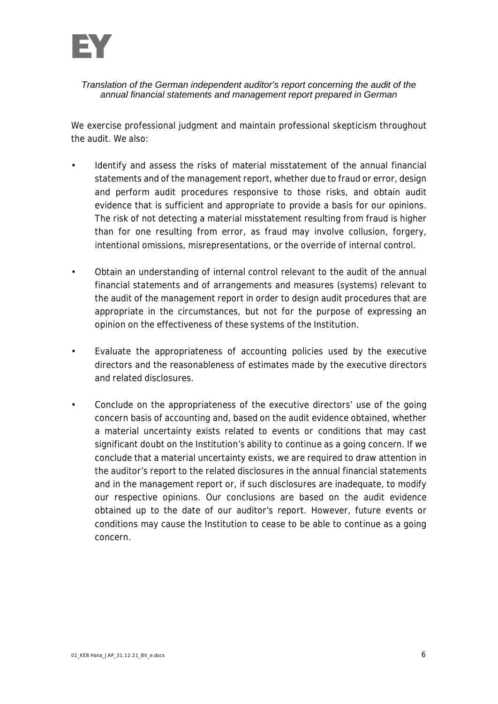

We exercise professional judgment and maintain professional skepticism throughout the audit. We also:

- Identify and assess the risks of material misstatement of the annual financial statements and of the management report, whether due to fraud or error, design and perform audit procedures responsive to those risks, and obtain audit evidence that is sufficient and appropriate to provide a basis for our opinions. The risk of not detecting a material misstatement resulting from fraud is higher than for one resulting from error, as fraud may involve collusion, forgery, intentional omissions, misrepresentations, or the override of internal control.
- Obtain an understanding of internal control relevant to the audit of the annual financial statements and of arrangements and measures (systems) relevant to the audit of the management report in order to design audit procedures that are appropriate in the circumstances, but not for the purpose of expressing an opinion on the effectiveness of these systems of the Institution.
- Evaluate the appropriateness of accounting policies used by the executive directors and the reasonableness of estimates made by the executive directors and related disclosures.
- Conclude on the appropriateness of the executive directors' use of the going concern basis of accounting and, based on the audit evidence obtained, whether a material uncertainty exists related to events or conditions that may cast significant doubt on the Institution's ability to continue as a going concern. If we conclude that a material uncertainty exists, we are required to draw attention in the auditor's report to the related disclosures in the annual financial statements and in the management report or, if such disclosures are inadequate, to modify our respective opinions. Our conclusions are based on the audit evidence obtained up to the date of our auditor's report. However, future events or conditions may cause the Institution to cease to be able to continue as a going concern.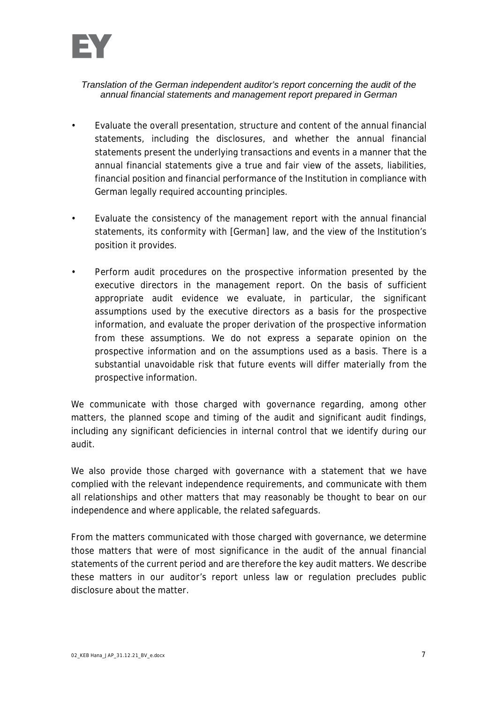

- Evaluate the overall presentation, structure and content of the annual financial statements, including the disclosures, and whether the annual financial statements present the underlying transactions and events in a manner that the annual financial statements give a true and fair view of the assets, liabilities, financial position and financial performance of the Institution in compliance with German legally required accounting principles.
- Evaluate the consistency of the management report with the annual financial statements, its conformity with [German] law, and the view of the Institution's position it provides.
- Perform audit procedures on the prospective information presented by the executive directors in the management report. On the basis of sufficient appropriate audit evidence we evaluate, in particular, the significant assumptions used by the executive directors as a basis for the prospective information, and evaluate the proper derivation of the prospective information from these assumptions. We do not express a separate opinion on the prospective information and on the assumptions used as a basis. There is a substantial unavoidable risk that future events will differ materially from the prospective information.

We communicate with those charged with governance regarding, among other matters, the planned scope and timing of the audit and significant audit findings, including any significant deficiencies in internal control that we identify during our audit.

We also provide those charged with governance with a statement that we have complied with the relevant independence requirements, and communicate with them all relationships and other matters that may reasonably be thought to bear on our independence and where applicable, the related safeguards.

From the matters communicated with those charged with governance, we determine those matters that were of most significance in the audit of the annual financial statements of the current period and are therefore the key audit matters. We describe these matters in our auditor's report unless law or regulation precludes public disclosure about the matter.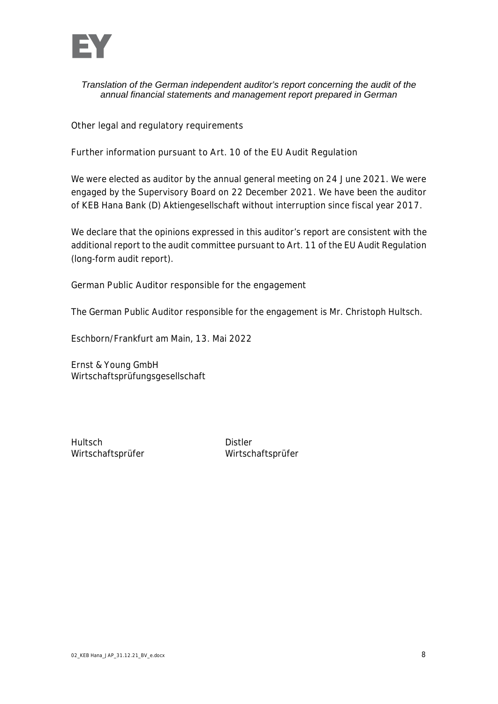

**Other legal and regulatory requirements**

**Further information pursuant to Art. 10 of the EU Audit Regulation**

We were elected as auditor by the annual general meeting on 24 June 2021. We were engaged by the Supervisory Board on 22 December 2021. We have been the auditor of KEB Hana Bank (D) Aktiengesellschaft without interruption since fiscal year 2017.

We declare that the opinions expressed in this auditor's report are consistent with the additional report to the audit committee pursuant to Art. 11 of the EU Audit Regulation (long-form audit report).

**German Public Auditor responsible for the engagement**

The German Public Auditor responsible for the engagement is Mr. Christoph Hultsch.

Eschborn/Frankfurt am Main, 13. Mai 2022

Ernst & Young GmbH Wirtschaftsprüfungsgesellschaft

Hultsch Distler

Wirtschaftsprüfer Wirtschaftsprüfer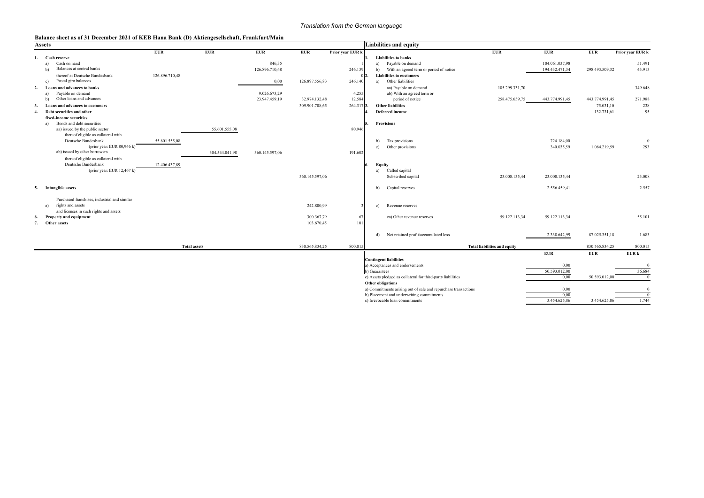#### **Balance sheet as of 31 December 2021 of KEB Hana Bank (D) Aktiengesellschaft, Frankfurt/Main**

| <b>Assets</b>                                |                |                     |                |                |                  | <b>Liabilities and equity</b>                                  |                                     |                |                |                  |
|----------------------------------------------|----------------|---------------------|----------------|----------------|------------------|----------------------------------------------------------------|-------------------------------------|----------------|----------------|------------------|
|                                              | <b>EUR</b>     | <b>EUR</b>          | <b>EUR</b>     | <b>EUR</b>     | Prior year EUR k |                                                                | <b>EUR</b>                          | <b>EUR</b>     | <b>EUR</b>     | Prior year EUR k |
| Cash reserve                                 |                |                     |                |                |                  | <b>Liabilities to banks</b>                                    |                                     |                |                |                  |
| Cash on hand<br>a)                           |                |                     | 846,35         |                |                  | Payable on demand<br>a)                                        |                                     | 104.061.037,98 |                | 51.491           |
| Balances at central banks<br>b)              |                |                     | 126.896.710,48 |                | 246.139          | With an agreed term or period of notice<br>b)                  |                                     | 194.432.471,34 | 298.493.509,32 | 43.913           |
| thereof at Deutsche Bundesbank               | 126.896.710,48 |                     |                |                |                  | <b>Liabilities to customers</b>                                |                                     |                |                |                  |
| Postal giro balances<br>c)                   |                |                     | 0,00           | 126.897.556,83 | 246.140          | Other liabilities<br>a)                                        |                                     |                |                |                  |
| Loans and advances to banks<br>2.            |                |                     |                |                |                  | aa) Payable on demand                                          | 185.299.331,70                      |                |                | 349.648          |
| Payable on demand<br>a)                      |                |                     | 9.026.673,29   |                | 4.255            | ab) With an agreed term or                                     |                                     |                |                |                  |
| Other loans and advances<br>$\mathbf{b}$     |                |                     | 23.947.459,19  | 32.974.132,48  | 12.584           | period of notice                                               | 258.475.659,75                      | 443.774.991,45 | 443.774.991,45 | 271.988          |
| Loans and advances to customers<br>3.        |                |                     |                | 309.901.708,65 | 264.317 3.       | <b>Other liabilities</b>                                       |                                     |                | 75.031,10      | 238              |
| Debt securities and other<br>4.              |                |                     |                |                |                  | Deferred income                                                |                                     |                | 132.731,61     | 95               |
| fixed-income securities                      |                |                     |                |                |                  |                                                                |                                     |                |                |                  |
| Bonds and debt securities<br>a)              |                |                     |                |                |                  | <b>Provisions</b>                                              |                                     |                |                |                  |
| aa) issued by the public sector              |                | 55.601.555,08       |                |                | 80.946           |                                                                |                                     |                |                |                  |
| thereof eligible as collateral with          |                |                     |                |                |                  |                                                                |                                     |                |                |                  |
| Deutsche Bundesbank                          | 55.601.555,08  |                     |                |                |                  | Tax provisions<br>b)                                           |                                     | 724.184,00     |                | $\Omega$         |
| (prior year: EUR 80,946 k)                   |                |                     |                |                |                  | Other provisions<br>c)                                         |                                     | 340.035,59     | 1.064.219,59   | 293              |
| ab) issued by other borrowers                |                | 304.544.041,98      | 360.145.597,06 |                | 191.602          |                                                                |                                     |                |                |                  |
| thereof eligible as collateral with          |                |                     |                |                |                  |                                                                |                                     |                |                |                  |
| Deutsche Bundesbank                          | 12.406.437,89  |                     |                |                |                  | Equity                                                         |                                     |                |                |                  |
| (prior year: EUR $12,467$ k)                 |                |                     |                |                |                  | Called capital<br>a)                                           |                                     |                |                |                  |
|                                              |                |                     |                | 360.145.597,06 |                  | Subscribed capital                                             | 23.008.135,44                       | 23.008.135,44  |                | 23.008           |
|                                              |                |                     |                |                |                  |                                                                |                                     |                |                |                  |
| 5. Intangible assets                         |                |                     |                |                |                  | Capital reserves<br>b)                                         |                                     | 2.556.459,41   |                | 2.557            |
|                                              |                |                     |                |                |                  |                                                                |                                     |                |                |                  |
| Purchased franchises, industrial and similar |                |                     |                |                |                  |                                                                |                                     |                |                |                  |
| rights and assets<br>a)                      |                |                     |                | 242.800,99     |                  | Revenue reserves<br>c)                                         |                                     |                |                |                  |
| and licenses in such rights and assets       |                |                     |                |                |                  |                                                                |                                     |                |                |                  |
| Property and equipment<br>6.                 |                |                     |                | 300.367,79     | 67               | ca) Other revenue reserves                                     | 59.122.113,34                       | 59.122.113,34  |                | 55.101           |
| Other assets<br>7.                           |                |                     |                | 103.670,45     | 101              |                                                                |                                     |                |                |                  |
|                                              |                |                     |                |                |                  |                                                                |                                     |                |                |                  |
|                                              |                |                     |                |                |                  | Net retained profit/accumulated loss<br>d)                     |                                     | 2.338.642,99   | 87.025.351,18  | 1.683            |
|                                              |                |                     |                |                |                  |                                                                |                                     |                |                |                  |
|                                              |                | <b>Total assets</b> |                | 830.565.834,25 | 800.015          |                                                                | <b>Total liabilities and equity</b> |                | 830.565.834,25 | 800.015          |
|                                              |                |                     |                |                |                  |                                                                |                                     | <b>EUR</b>     | <b>EUR</b>     | EUR k            |
|                                              |                |                     |                |                |                  | <b>Contingent liabilities</b>                                  |                                     |                |                |                  |
|                                              |                |                     |                |                |                  | a) Acceptances and endorsements                                |                                     | 0,00           |                | $\Omega$         |
|                                              |                |                     |                |                |                  | b) Guarantees                                                  |                                     | 50.593.012,00  |                | 36.684           |
|                                              |                |                     |                |                |                  | c) Assets pledged as collateral for third-party liabilities    |                                     | 0,00           | 50.593.012,00  | $\Omega$         |
|                                              |                |                     |                |                |                  | Other obligations                                              |                                     |                |                |                  |
|                                              |                |                     |                |                |                  | a) Commitments arising out of sale and repurchase transactions |                                     | 0,00           |                | $\Omega$         |
|                                              |                |                     |                |                |                  | b) Placement and underwriting commitments                      |                                     | 0,00           |                | $\Omega$         |
|                                              |                |                     |                |                |                  | c) Irrevocable loan commitments                                |                                     | 3.454.625,86   | 3.454.625,86   | 1.744            |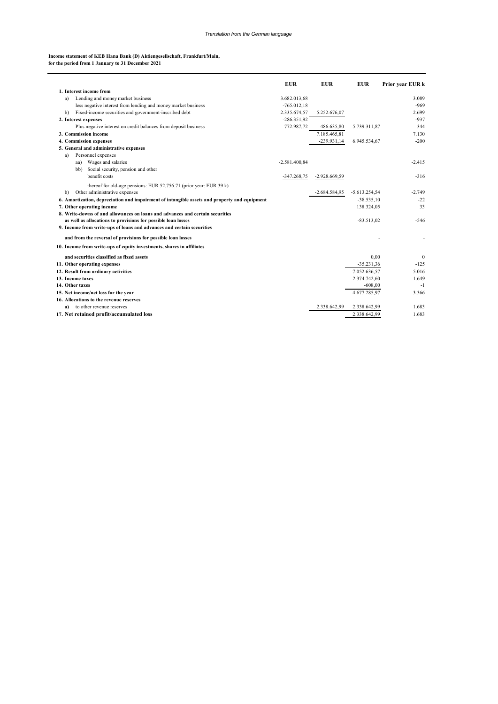#### **Income statement of KEB Hana Bank (D) Aktiengesellschaft, Frankfurt/Main, for the period from 1 January to 31 December 2021**

|                                                                                              | <b>EUR</b>      | <b>EUR</b>      | <b>EUR</b>      | Prior year EUR k |
|----------------------------------------------------------------------------------------------|-----------------|-----------------|-----------------|------------------|
| 1. Interest income from                                                                      |                 |                 |                 |                  |
| Lending and money market business<br>a)                                                      | 3.682.013,68    |                 |                 | 3.089            |
| less negative interest from lending and money market business                                | $-765.012.18$   |                 |                 | $-969$           |
| Fixed-income securities and government-inscribed debt<br>b)                                  | 2.335.674,57    | 5.252.676,07    |                 | 2.699            |
| 2. Interest expenses                                                                         | $-286.351.92$   |                 |                 | $-937$           |
| Plus negative interest on credit balances from deposit business                              | 772.987,72      | 486.635,80      | 5.739.311,87    | 344              |
| 3. Commission income                                                                         |                 | 7.185.465.81    |                 | 7.130            |
| 4. Commission expenses                                                                       |                 | $-239.931,14$   | 6.945.534,67    | $-200$           |
| 5. General and administrative expenses                                                       |                 |                 |                 |                  |
| Personnel expenses<br>a)                                                                     |                 |                 |                 |                  |
| Wages and salaries<br>aa)                                                                    | $-2.581.400,84$ |                 |                 | $-2.415$         |
| Social security, pension and other<br>bb)                                                    |                 |                 |                 |                  |
| benefit costs                                                                                | $-347.268,75$   | $-2.928.669,59$ |                 | $-316$           |
| thereof for old-age pensions: EUR $52,756.71$ (prior year: EUR 39 k)                         |                 |                 |                 |                  |
| Other administrative expenses<br>b)                                                          |                 | $-2.684.584.95$ | $-5.613.254,54$ | $-2.749$         |
| 6. Amortization, depreciation and impairment of intangible assets and property and equipment |                 |                 | $-38.535,10$    | $-22$            |
| 7. Other operating income                                                                    |                 |                 | 138.324,05      | 33               |
| 8. Write-downs of and allowances on loans and advances and certain securities                |                 |                 |                 |                  |
| as well as allocations to provisions for possible loan losses                                |                 |                 | $-83.513.02$    | -546             |
| 9. Income from write-ups of loans and advances and certain securities                        |                 |                 |                 |                  |
| and from the reversal of provisions for possible loan losses                                 |                 |                 |                 |                  |
| 10. Income from write-ups of equity investments, shares in affiliates                        |                 |                 |                 |                  |
| and securities classified as fixed assets                                                    |                 |                 | 0,00            | $\boldsymbol{0}$ |
| 11. Other operating expenses                                                                 |                 |                 | $-35.231,36$    | $-125$           |
| 12. Result from ordinary activities                                                          |                 |                 | 7.052.636,57    | 5.016            |
| 13. Income taxes                                                                             |                 |                 | $-2.374.742,60$ | $-1.649$         |
| 14. Other taxes                                                                              |                 |                 | $-608,00$       | $-1$             |
| 15. Net income/net loss for the year                                                         |                 |                 | 4.677.285.97    | 3.366            |
| 16. Allocations to the revenue reserves                                                      |                 |                 |                 |                  |
| a) to other revenue reserves                                                                 |                 | 2.338.642.99    | 2.338.642,99    | 1.683            |
| 17. Net retained profit/accumulated loss                                                     |                 |                 | 2.338.642,99    | 1.683            |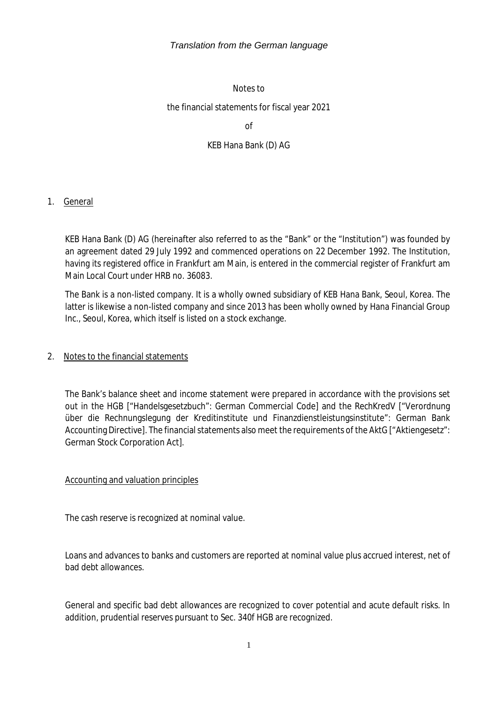#### Notes to

#### the financial statements for fiscal year 2021

of

### KEB Hana Bank (D) AG

#### 1. General

KEB Hana Bank (D) AG (hereinafter also referred to as the "Bank" or the "Institution") was founded by an agreement dated 29 July 1992 and commenced operations on 22 December 1992. The Institution, having its registered office in Frankfurt am Main, is entered in the commercial register of Frankfurt am Main Local Court under HRB no. 36083.

The Bank is a non-listed company. It is a wholly owned subsidiary of KEB Hana Bank, Seoul, Korea. The latter is likewise a non-listed company and since 2013 has been wholly owned by Hana Financial Group Inc., Seoul, Korea, which itself is listed on a stock exchange.

#### 2. Notes to the financial statements

The Bank's balance sheet and income statement were prepared in accordance with the provisions set out in the HGB ["Handelsgesetzbuch": German Commercial Code] and the RechKredV ["Verordnung über die Rechnungslegung der Kreditinstitute und Finanzdienstleistungsinstitute": German Bank Accounting Directive]. The financial statements also meet the requirements of the AktG ["Aktiengesetz": German Stock Corporation Act].

### Accounting and valuation principles

The cash reserve is recognized at nominal value.

Loans and advances to banks and customers are reported at nominal value plus accrued interest, net of bad debt allowances.

General and specific bad debt allowances are recognized to cover potential and acute default risks. In addition, prudential reserves pursuant to Sec. 340f HGB are recognized.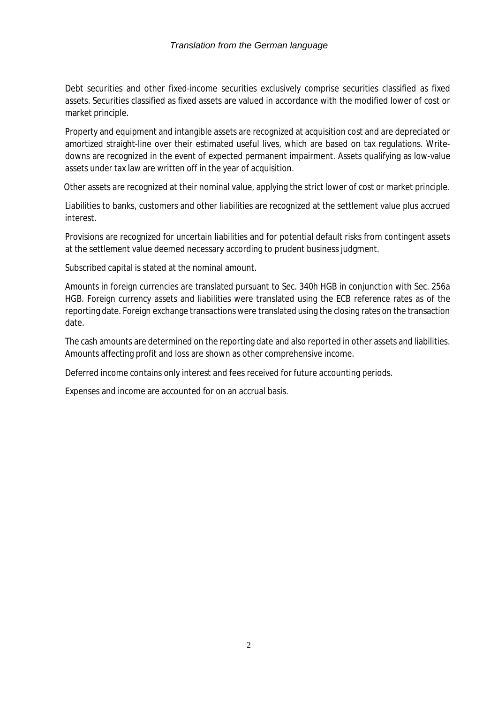Debt securities and other fixed-income securities exclusively comprise securities classified as fixed assets. Securities classified as fixed assets are valued in accordance with the modified lower of cost or market principle.

Property and equipment and intangible assets are recognized at acquisition cost and are depreciated or amortized straight-line over their estimated useful lives, which are based on tax regulations. Writedowns are recognized in the event of expected permanent impairment. Assets qualifying as low-value assets under tax law are written off in the year of acquisition.

Other assets are recognized at their nominal value, applying the strict lower of cost or market principle.

Liabilities to banks, customers and other liabilities are recognized at the settlement value plus accrued interest.

Provisions are recognized for uncertain liabilities and for potential default risks from contingent assets at the settlement value deemed necessary according to prudent business judgment.

Subscribed capital is stated at the nominal amount.

Amounts in foreign currencies are translated pursuant to Sec. 340h HGB in conjunction with Sec. 256a HGB. Foreign currency assets and liabilities were translated using the ECB reference rates as of the reporting date. Foreign exchange transactions were translated using the closing rates on the transaction date.

The cash amounts are determined on the reporting date and also reported in other assets and liabilities. Amounts affecting profit and loss are shown as other comprehensive income.

Deferred income contains only interest and fees received for future accounting periods.

Expenses and income are accounted for on an accrual basis.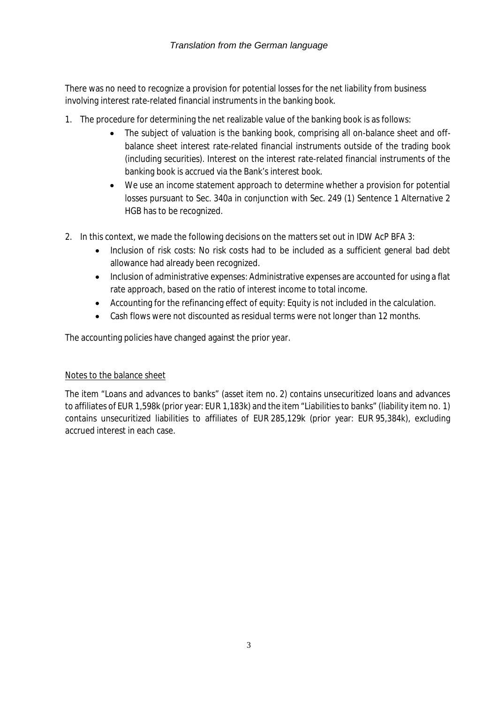There was no need to recognize a provision for potential losses for the net liability from business involving interest rate-related financial instruments in the banking book.

- 1. The procedure for determining the net realizable value of the banking book is as follows:
	- The subject of valuation is the banking book, comprising all on-balance sheet and offbalance sheet interest rate-related financial instruments outside of the trading book (including securities). Interest on the interest rate-related financial instruments of the banking book is accrued via the Bank's interest book.
	- We use an income statement approach to determine whether a provision for potential losses pursuant to Sec. 340a in conjunction with Sec. 249 (1) Sentence 1 Alternative 2 HGB has to be recognized.
- 2. In this context, we made the following decisions on the matters set out in IDW AcP BFA 3:
	- Inclusion of risk costs: No risk costs had to be included as a sufficient general bad debt allowance had already been recognized.
	- Inclusion of administrative expenses: Administrative expenses are accounted for using a flat rate approach, based on the ratio of interest income to total income.
	- Accounting for the refinancing effect of equity: Equity is not included in the calculation.
	- Cash flows were not discounted as residual terms were not longer than 12 months.

The accounting policies have changed against the prior year.

### Notes to the balance sheet

The item "Loans and advances to banks" (asset item no. 2) contains unsecuritized loans and advances to affiliates of EUR 1,598k (prior year: EUR 1,183k) and the item "Liabilities to banks" (liability item no. 1) contains unsecuritized liabilities to affiliates of EUR 285,129k (prior year: EUR 95,384k), excluding accrued interest in each case.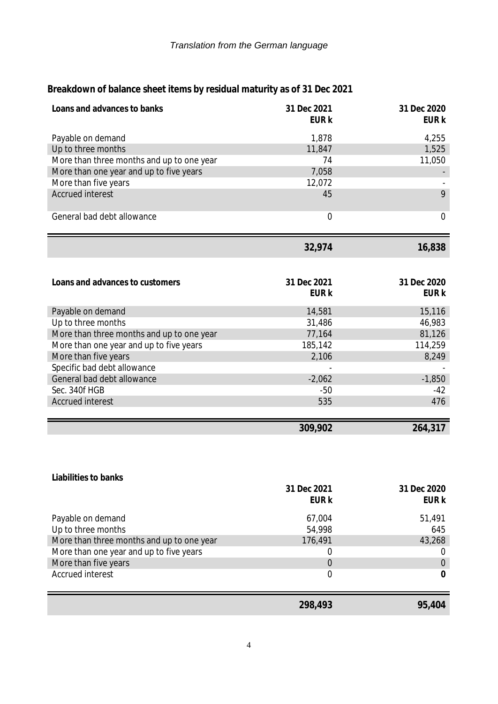| Loans and advances to banks               | 31 Dec 2021<br>EUR k | 31 Dec 2020<br>EUR k |
|-------------------------------------------|----------------------|----------------------|
| Payable on demand                         | 1,878                | 4,255                |
| Up to three months                        | 11,847               | 1,525                |
| More than three months and up to one year | 74                   | 11,050               |
| More than one year and up to five years   | 7,058                |                      |
| More than five years                      | 12,072               |                      |
| <b>Accrued interest</b>                   | 45                   | 9                    |
|                                           |                      |                      |
| General bad debt allowance                | $\overline{0}$       | $\overline{0}$       |
|                                           | 32,974               | 16,838               |
|                                           |                      |                      |
| Loans and advances to customers           | 31 Dec 2021          | 31 Dec 2020          |
|                                           | <b>EUR k</b>         | <b>EUR k</b>         |
| Payable on demand                         | 14,581               | 15,116               |
| Up to three months                        | 31,486               | 46,983               |
| More than three months and up to one year | 77,164               | 81,126               |
| More than one year and up to five years   | 185,142              | 114,259              |
| More than five years                      | 2,106                | 8,249                |
| Specific bad debt allowance               |                      |                      |
| General bad debt allowance                | $-2,062$             | $-1,850$             |
| Sec. 340f HGB                             | $-50$                | $-42$                |
| <b>Accrued interest</b>                   | 535                  | 476                  |
|                                           |                      |                      |
|                                           | 309,902              | 264,317              |
|                                           |                      |                      |
|                                           |                      |                      |
| Liabilities to banks                      |                      |                      |

**Breakdown of balance sheet items by residual maturity as of 31 Dec 2021**

| Up to three months<br>54,998<br>176,491<br>43,268                                                                                                        |               |
|----------------------------------------------------------------------------------------------------------------------------------------------------------|---------------|
| More than three months and up to one year<br>More than one year and up to five years<br>0<br>More than five years<br>$\Omega$<br><b>Accrued interest</b> | 0<br>$\theta$ |
|                                                                                                                                                          | 645           |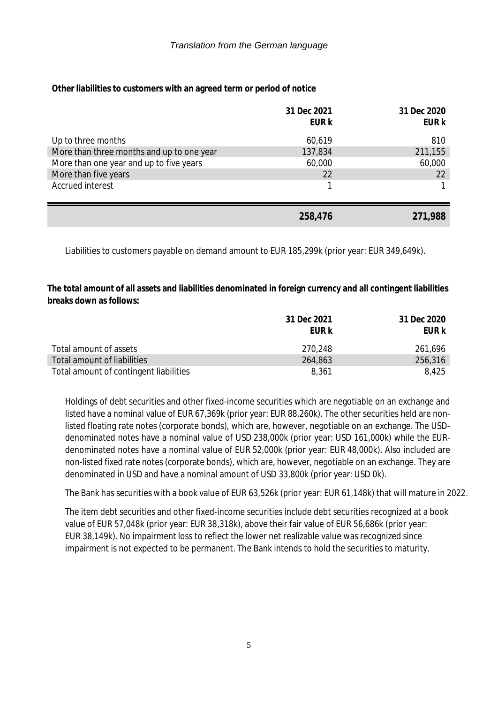**Other liabilities to customers with an agreed term or period of notice**

|                                           | 31 Dec 2021<br><b>EUR k</b> | 31 Dec 2020<br>EUR k |
|-------------------------------------------|-----------------------------|----------------------|
| Up to three months                        | 60,619                      | 810                  |
| More than three months and up to one year | 137,834                     | 211,155              |
| More than one year and up to five years   | 60,000                      | 60,000               |
| More than five years                      | 22                          | 22                   |
| Accrued interest                          |                             |                      |
|                                           |                             |                      |
|                                           | 258,476                     | 271,988              |

Liabilities to customers payable on demand amount to EUR 185,299k (prior year: EUR 349,649k).

**The total amount of all assets and liabilities denominated in foreign currency and all contingent liabilities breaks down as follows:**

|                                        | 31 Dec 2021 | 31 Dec 2020 |
|----------------------------------------|-------------|-------------|
|                                        | FUR k       | EUR k       |
| Total amount of assets                 | 270,248     | 261,696     |
| Total amount of liabilities            | 264,863     | 256,316     |
| Total amount of contingent liabilities | 8,361       | 8.425       |

Holdings of debt securities and other fixed-income securities which are negotiable on an exchange and listed have a nominal value of EUR 67,369k (prior year: EUR 88,260k). The other securities held are nonlisted floating rate notes (corporate bonds), which are, however, negotiable on an exchange. The USDdenominated notes have a nominal value of USD 238,000k (prior year: USD 161,000k) while the EURdenominated notes have a nominal value of EUR 52,000k (prior year: EUR 48,000k). Also included are non-listed fixed rate notes (corporate bonds), which are, however, negotiable on an exchange. They are denominated in USD and have a nominal amount of USD 33,800k (prior year: USD 0k).

The Bank has securities with a book value of EUR 63,526k (prior year: EUR 61,148k) that will mature in 2022.

The item debt securities and other fixed-income securities include debt securities recognized at a book value of EUR 57,048k (prior year: EUR 38,318k), above their fair value of EUR 56,686k (prior year: EUR 38,149k). No impairment loss to reflect the lower net realizable value was recognized since impairment is not expected to be permanent. The Bank intends to hold the securities to maturity.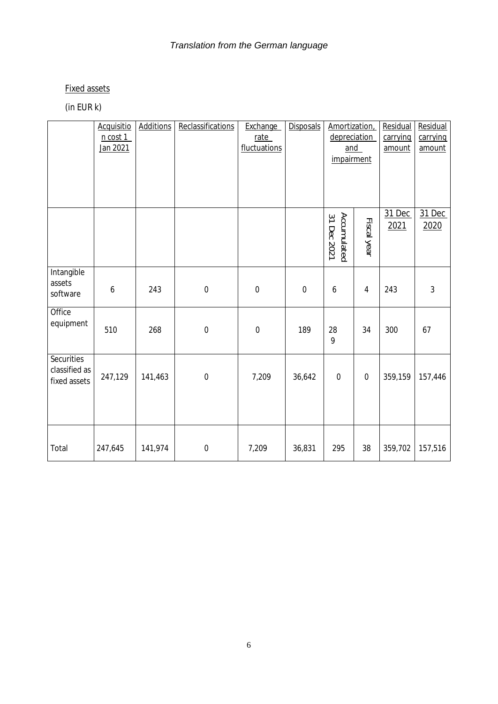# Fixed assets

# (in EUR k)

|                                             | Acquisitio<br>n cost 1<br>Jan 2021 | <b>Additions</b> | Reclassifications | Exchange<br>rate<br>fluctuations | Disposals        | Amortization,<br>depreciation<br>and<br>impairment |                  | Residual<br>carrying<br>amount | Residual<br>carrying<br>amount |
|---------------------------------------------|------------------------------------|------------------|-------------------|----------------------------------|------------------|----------------------------------------------------|------------------|--------------------------------|--------------------------------|
|                                             |                                    |                  |                   |                                  |                  | Accumulated<br>31 Dec 2021                         | Fiscal year      | 31 Dec<br>2021                 | 31 Dec<br>2020                 |
| Intangible<br>assets<br>software            | $\boldsymbol{6}$                   | 243              | $\boldsymbol{0}$  | $\mathbf 0$                      | $\boldsymbol{0}$ | 6                                                  | $\overline{4}$   | 243                            | $\mathfrak{Z}$                 |
| Office<br>equipment                         | 510                                | 268              | $\boldsymbol{0}$  | $\mathbf 0$                      | 189              | 28<br>9                                            | 34               | 300                            | 67                             |
| Securities<br>classified as<br>fixed assets | 247,129                            | 141,463          | $\boldsymbol{0}$  | 7,209                            | 36,642           | $\boldsymbol{0}$                                   | $\boldsymbol{0}$ | 359,159                        | 157,446                        |
| Total                                       | 247,645                            | 141,974          | $\boldsymbol{0}$  | 7,209                            | 36,831           | 295                                                | 38               | 359,702                        | 157,516                        |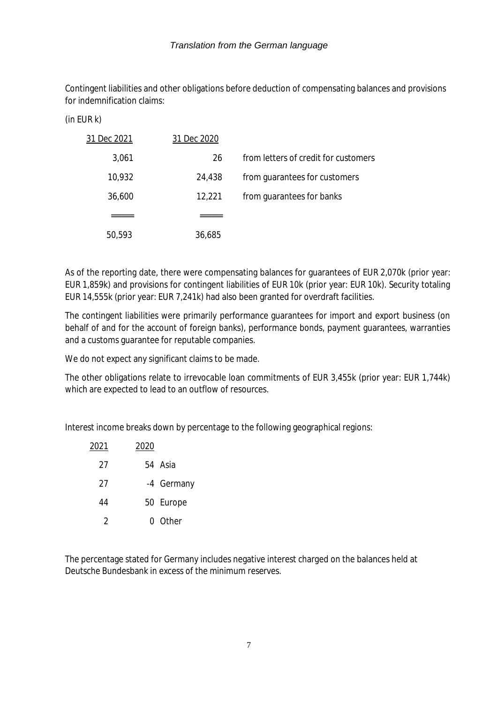Contingent liabilities and other obligations before deduction of compensating balances and provisions for indemnification claims:

| (in EUR k) |  |  |  |
|------------|--|--|--|
|------------|--|--|--|

|                                      | 31 Dec 2020 | 31 Dec 2021 |
|--------------------------------------|-------------|-------------|
| from letters of credit for customers | 26          | 3,061       |
| from quarantees for customers        | 24,438      | 10,932      |
| from guarantees for banks            | 12,221      | 36,600      |
|                                      |             |             |
|                                      | 36,685      | 50,593      |

As of the reporting date, there were compensating balances for guarantees of EUR 2,070k (prior year: EUR 1,859k) and provisions for contingent liabilities of EUR 10k (prior year: EUR 10k). Security totaling EUR 14,555k (prior year: EUR 7,241k) had also been granted for overdraft facilities.

The contingent liabilities were primarily performance guarantees for import and export business (on behalf of and for the account of foreign banks), performance bonds, payment guarantees, warranties and a customs guarantee for reputable companies.

We do not expect any significant claims to be made.

The other obligations relate to irrevocable loan commitments of EUR 3,455k (prior year: EUR 1,744k) which are expected to lead to an outflow of resources.

Interest income breaks down by percentage to the following geographical regions:

| 2021 | 2020 |            |
|------|------|------------|
| 27   |      | 54 Asia    |
| 27   |      | -4 Germany |
| 44   |      | 50 Europe  |
| 2    |      | 0 Other    |

The percentage stated for Germany includes negative interest charged on the balances held at Deutsche Bundesbank in excess of the minimum reserves.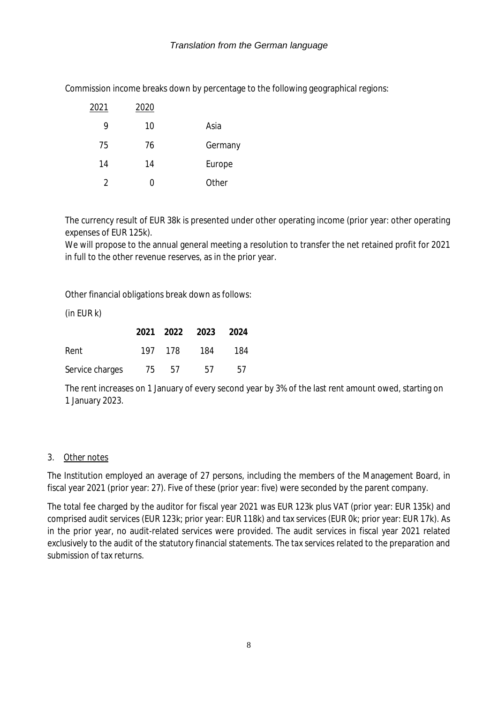|         | 2020 | 2021 |
|---------|------|------|
| Asia    | 10   | 9    |
| Germany | 76   | 75   |
| Europe  | 14   | 14   |
| Other   | ( )  | 2    |

Commission income breaks down by percentage to the following geographical regions:

The currency result of EUR 38k is presented under other operating income (prior year: other operating expenses of EUR 125k).

We will propose to the annual general meeting a resolution to transfer the net retained profit for 2021 in full to the other revenue reserves, as in the prior year.

Other financial obligations break down as follows:

(in EUR k)

|                 |    |         | 2021 2022 2023 2024 |     |
|-----------------|----|---------|---------------------|-----|
| Rent            |    | 197 178 | 184                 | 184 |
| Service charges | 75 | 57      | .57                 | .57 |

The rent increases on 1 January of every second year by 3% of the last rent amount owed, starting on 1 January 2023.

#### 3. Other notes

The Institution employed an average of 27 persons, including the members of the Management Board, in fiscal year 2021 (prior year: 27). Five of these (prior year: five) were seconded by the parent company.

The total fee charged by the auditor for fiscal year 2021 was EUR 123k plus VAT (prior year: EUR 135k) and comprised audit services (EUR 123k; prior year: EUR 118k) and tax services (EUR 0k; prior year: EUR 17k). As in the prior year, no audit-related services were provided. The audit services in fiscal year 2021 related exclusively to the audit of the statutory financial statements. The tax services related to the preparation and submission of tax returns.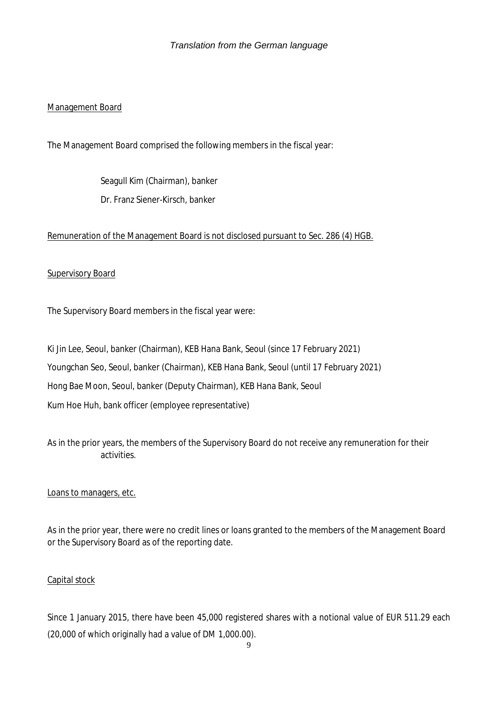### Management Board

The Management Board comprised the following members in the fiscal year:

Seagull Kim (Chairman), banker Dr. Franz Siener-Kirsch, banker

#### Remuneration of the Management Board is not disclosed pursuant to Sec. 286 (4) HGB.

#### **Supervisory Board**

The Supervisory Board members in the fiscal year were:

Ki Jin Lee, Seoul, banker (Chairman), KEB Hana Bank, Seoul (since 17 February 2021) Youngchan Seo, Seoul, banker (Chairman), KEB Hana Bank, Seoul (until 17 February 2021) Hong Bae Moon, Seoul, banker (Deputy Chairman), KEB Hana Bank, Seoul Kum Hoe Huh, bank officer (employee representative)

As in the prior years, the members of the Supervisory Board do not receive any remuneration for their activities.

#### Loans to managers, etc.

As in the prior year, there were no credit lines or loans granted to the members of the Management Board or the Supervisory Board as of the reporting date.

#### Capital stock

Since 1 January 2015, there have been 45,000 registered shares with a notional value of EUR 511.29 each (20,000 of which originally had a value of DM 1,000.00).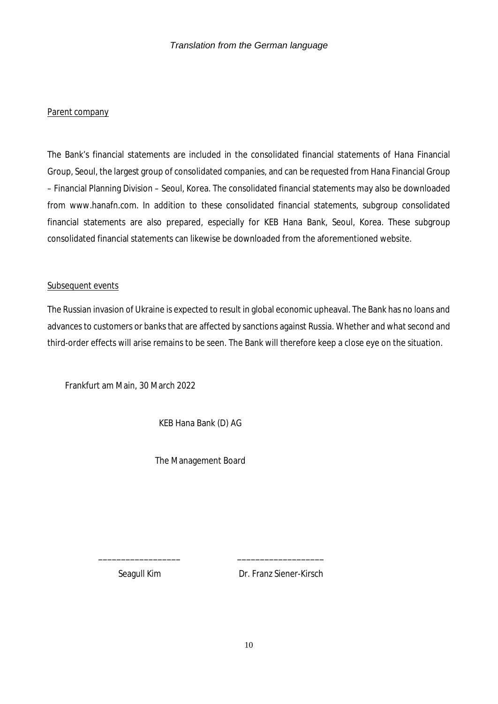#### Parent company

The Bank's financial statements are included in the consolidated financial statements of Hana Financial Group, Seoul, the largest group of consolidated companies, and can be requested from Hana Financial Group – Financial Planning Division – Seoul, Korea. The consolidated financial statements may also be downloaded from www.hanafn.com. In addition to these consolidated financial statements, subgroup consolidated financial statements are also prepared, especially for KEB Hana Bank, Seoul, Korea. These subgroup consolidated financial statements can likewise be downloaded from the aforementioned website.

#### Subsequent events

The Russian invasion of Ukraine is expected to result in global economic upheaval. The Bank has no loans and advances to customers or banks that are affected by sanctions against Russia. Whether and what second and third-order effects will arise remains to be seen. The Bank will therefore keep a close eye on the situation.

Frankfurt am Main, 30 March 2022

KEB Hana Bank (D) AG

The Management Board

\_\_\_\_\_\_\_\_\_\_\_\_\_\_\_\_\_\_ \_\_\_\_\_\_\_\_\_\_\_\_\_\_\_\_\_\_\_

Seagull Kim Dr. Franz Siener-Kirsch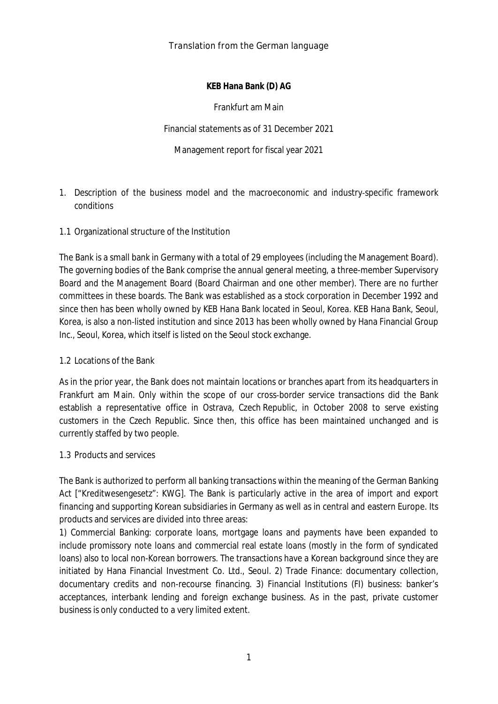**KEB Hana Bank (D) AG**

Frankfurt am Main

Financial statements as of 31 December 2021

Management report for fiscal year 2021

- 1. Description of the business model and the macroeconomic and industry-specific framework conditions
- 1.1 Organizational structure of the Institution

The Bank is a small bank in Germany with a total of 29 employees (including the Management Board). The governing bodies of the Bank comprise the annual general meeting, a three-member Supervisory Board and the Management Board (Board Chairman and one other member). There are no further committees in these boards. The Bank was established as a stock corporation in December 1992 and since then has been wholly owned by KEB Hana Bank located in Seoul, Korea. KEB Hana Bank, Seoul, Korea, is also a non-listed institution and since 2013 has been wholly owned by Hana Financial Group Inc., Seoul, Korea, which itself is listed on the Seoul stock exchange.

#### 1.2 Locations of the Bank

As in the prior year, the Bank does not maintain locations or branches apart from its headquarters in Frankfurt am Main. Only within the scope of our cross-border service transactions did the Bank establish a representative office in Ostrava, Czech Republic, in October 2008 to serve existing customers in the Czech Republic. Since then, this office has been maintained unchanged and is currently staffed by two people.

#### 1.3 Products and services

The Bank is authorized to perform all banking transactions within the meaning of the German Banking Act ["Kreditwesengesetz": KWG]. The Bank is particularly active in the area of import and export financing and supporting Korean subsidiaries in Germany as well as in central and eastern Europe. Its products and services are divided into three areas:

1) Commercial Banking: corporate loans, mortgage loans and payments have been expanded to include promissory note loans and commercial real estate loans (mostly in the form of syndicated loans) also to local non-Korean borrowers. The transactions have a Korean background since they are initiated by Hana Financial Investment Co. Ltd., Seoul. 2) Trade Finance: documentary collection, documentary credits and non-recourse financing. 3) Financial Institutions (FI) business: banker's acceptances, interbank lending and foreign exchange business. As in the past, private customer business is only conducted to a very limited extent.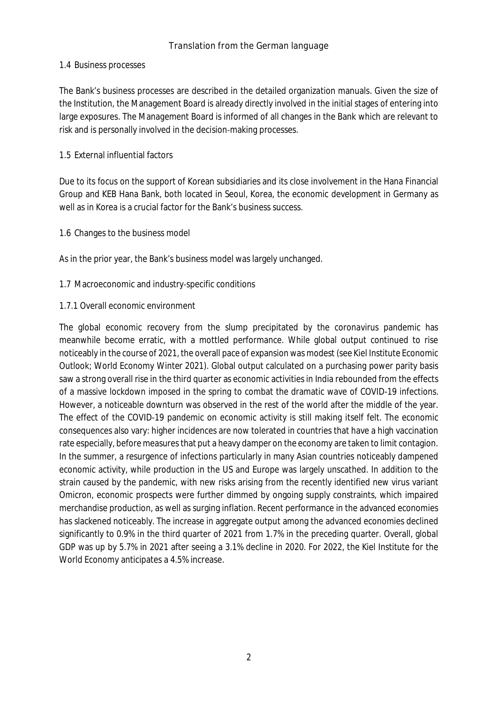#### 1.4 Business processes

The Bank's business processes are described in the detailed organization manuals. Given the size of the Institution, the Management Board is already directly involved in the initial stages of entering into large exposures. The Management Board is informed of all changes in the Bank which are relevant to risk and is personally involved in the decision-making processes.

#### 1.5 External influential factors

Due to its focus on the support of Korean subsidiaries and its close involvement in the Hana Financial Group and KEB Hana Bank, both located in Seoul, Korea, the economic development in Germany as well as in Korea is a crucial factor for the Bank's business success.

#### 1.6 Changes to the business model

As in the prior year, the Bank's business model was largely unchanged.

#### 1.7 Macroeconomic and industry-specific conditions

#### 1.7.1 Overall economic environment

The global economic recovery from the slump precipitated by the coronavirus pandemic has meanwhile become erratic, with a mottled performance. While global output continued to rise noticeably in the course of 2021, the overall pace of expansion was modest (see Kiel Institute Economic Outlook; World Economy Winter 2021). Global output calculated on a purchasing power parity basis saw a strong overall rise in the third quarter as economic activities in India rebounded from the effects of a massive lockdown imposed in the spring to combat the dramatic wave of COVID-19 infections. However, a noticeable downturn was observed in the rest of the world after the middle of the year. The effect of the COVID-19 pandemic on economic activity is still making itself felt. The economic consequences also vary: higher incidences are now tolerated in countries that have a high vaccination rate especially, before measures that put a heavy damper on the economy are taken to limit contagion. In the summer, a resurgence of infections particularly in many Asian countries noticeably dampened economic activity, while production in the US and Europe was largely unscathed. In addition to the strain caused by the pandemic, with new risks arising from the recently identified new virus variant Omicron, economic prospects were further dimmed by ongoing supply constraints, which impaired merchandise production, as well as surging inflation. Recent performance in the advanced economies has slackened noticeably. The increase in aggregate output among the advanced economies declined significantly to 0.9% in the third quarter of 2021 from 1.7% in the preceding quarter. Overall, global GDP was up by 5.7% in 2021 after seeing a 3.1% decline in 2020. For 2022, the Kiel Institute for the World Economy anticipates a 4.5% increase.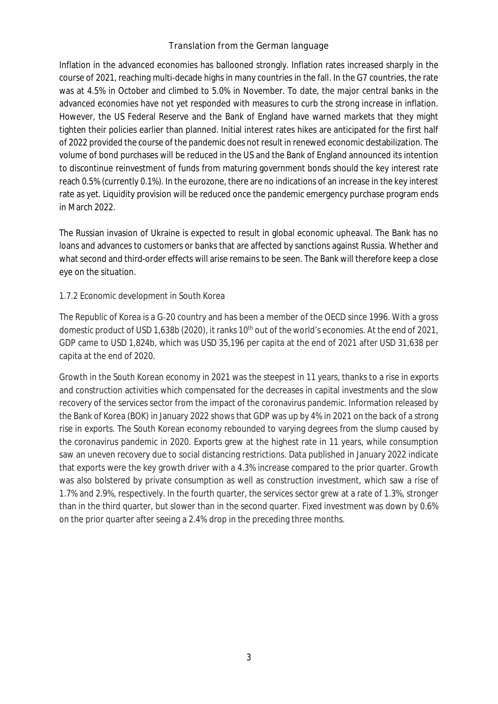Inflation in the advanced economies has ballooned strongly. Inflation rates increased sharply in the course of 2021, reaching multi-decade highs in many countries in the fall. In the G7 countries, the rate was at 4.5% in October and climbed to 5.0% in November. To date, the major central banks in the advanced economies have not yet responded with measures to curb the strong increase in inflation. However, the US Federal Reserve and the Bank of England have warned markets that they might tighten their policies earlier than planned. Initial interest rates hikes are anticipated for the first half of 2022 provided the course of the pandemic does not result in renewed economic destabilization. The volume of bond purchases will be reduced in the US and the Bank of England announced its intention to discontinue reinvestment of funds from maturing government bonds should the key interest rate reach 0.5% (currently 0.1%). In the eurozone, there are no indications of an increase in the key interest rate as yet. Liquidity provision will be reduced once the pandemic emergency purchase program ends in March 2022.

The Russian invasion of Ukraine is expected to result in global economic upheaval. The Bank has no loans and advances to customers or banks that are affected by sanctions against Russia. Whether and what second and third-order effects will arise remains to be seen. The Bank will therefore keep a close eye on the situation.

### 1.7.2 Economic development in South Korea

The Republic of Korea is a G-20 country and has been a member of the OECD since 1996. With a gross domestic product of USD 1,638b (2020), it ranks 10<sup>th</sup> out of the world's economies. At the end of 2021, GDP came to USD 1,824b, which was USD 35,196 per capita at the end of 2021 after USD 31,638 per capita at the end of 2020.

Growth in the South Korean economy in 2021 was the steepest in 11 years, thanks to a rise in exports and construction activities which compensated for the decreases in capital investments and the slow recovery of the services sector from the impact of the coronavirus pandemic. Information released by the Bank of Korea (BOK) in January 2022 shows that GDP was up by 4% in 2021 on the back of a strong rise in exports. The South Korean economy rebounded to varying degrees from the slump caused by the coronavirus pandemic in 2020. Exports grew at the highest rate in 11 years, while consumption saw an uneven recovery due to social distancing restrictions. Data published in January 2022 indicate that exports were the key growth driver with a 4.3% increase compared to the prior quarter. Growth was also bolstered by private consumption as well as construction investment, which saw a rise of 1.7% and 2.9%, respectively. In the fourth quarter, the services sector grew at a rate of 1.3%, stronger than in the third quarter, but slower than in the second quarter. Fixed investment was down by 0.6% on the prior quarter after seeing a 2.4% drop in the preceding three months.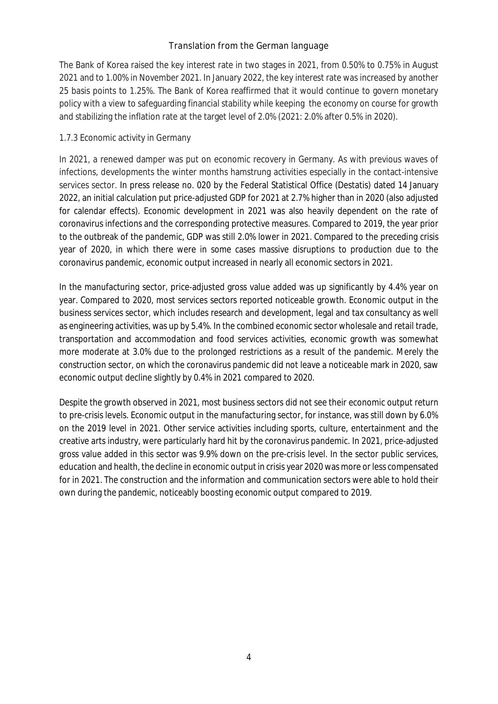The Bank of Korea raised the key interest rate in two stages in 2021, from 0.50% to 0.75% in August 2021 and to 1.00% in November 2021. In January 2022, the key interest rate was increased by another 25 basis points to 1.25%. The Bank of Korea reaffirmed that it would continue to govern monetary policy with a view to safeguarding financial stability while keeping the economy on course for growth and stabilizing the inflation rate at the target level of 2.0% (2021: 2.0% after 0.5% in 2020).

### 1.7.3 Economic activity in Germany

In 2021, a renewed damper was put on economic recovery in Germany. As with previous waves of infections, developments the winter months hamstrung activities especially in the contact-intensive services sector. In press release no. 020 by the Federal Statistical Office (Destatis) dated 14 January 2022, an initial calculation put price-adjusted GDP for 2021 at 2.7% higher than in 2020 (also adjusted for calendar effects). Economic development in 2021 was also heavily dependent on the rate of coronavirus infections and the corresponding protective measures. Compared to 2019, the year prior to the outbreak of the pandemic, GDP was still 2.0% lower in 2021. Compared to the preceding crisis year of 2020, in which there were in some cases massive disruptions to production due to the coronavirus pandemic, economic output increased in nearly all economic sectors in 2021.

In the manufacturing sector, price-adjusted gross value added was up significantly by 4.4% year on year. Compared to 2020, most services sectors reported noticeable growth. Economic output in the business services sector, which includes research and development, legal and tax consultancy as well as engineering activities, was up by 5.4%. In the combined economic sector wholesale and retail trade, transportation and accommodation and food services activities, economic growth was somewhat more moderate at 3.0% due to the prolonged restrictions as a result of the pandemic. Merely the construction sector, on which the coronavirus pandemic did not leave a noticeable mark in 2020, saw economic output decline slightly by 0.4% in 2021 compared to 2020.

Despite the growth observed in 2021, most business sectors did not see their economic output return to pre-crisis levels. Economic output in the manufacturing sector, for instance, was still down by 6.0% on the 2019 level in 2021. Other service activities including sports, culture, entertainment and the creative arts industry, were particularly hard hit by the coronavirus pandemic. In 2021, price-adjusted gross value added in this sector was 9.9% down on the pre-crisis level. In the sector public services, education and health, the decline in economic output in crisis year 2020 was more or less compensated for in 2021. The construction and the information and communication sectors were able to hold their own during the pandemic, noticeably boosting economic output compared to 2019.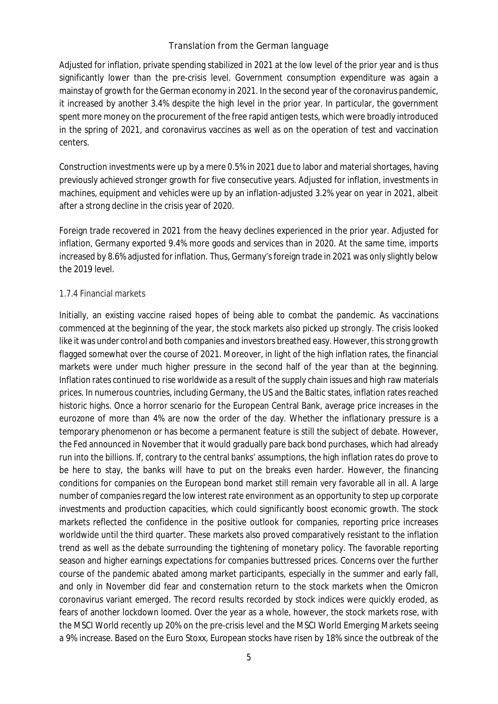Adjusted for inflation, private spending stabilized in 2021 at the low level of the prior year and is thus significantly lower than the pre-crisis level. Government consumption expenditure was again a mainstay of growth for the German economy in 2021. In the second year of the coronavirus pandemic, it increased by another 3.4% despite the high level in the prior year. In particular, the government spent more money on the procurement of the free rapid antigen tests, which were broadly introduced in the spring of 2021, and coronavirus vaccines as well as on the operation of test and vaccination centers.

Construction investments were up by a mere 0.5% in 2021 due to labor and material shortages, having previously achieved stronger growth for five consecutive years. Adjusted for inflation, investments in machines, equipment and vehicles were up by an inflation-adjusted 3.2% year on year in 2021, albeit after a strong decline in the crisis year of 2020.

Foreign trade recovered in 2021 from the heavy declines experienced in the prior year. Adjusted for inflation, Germany exported 9.4% more goods and services than in 2020. At the same time, imports increased by 8.6% adjusted for inflation. Thus, Germany's foreign trade in 2021 was only slightly below the 2019 level.

#### 1.7.4 Financial markets

Initially, an existing vaccine raised hopes of being able to combat the pandemic. As vaccinations commenced at the beginning of the year, the stock markets also picked up strongly. The crisis looked like it was under control and both companies and investors breathed easy. However, this strong growth flagged somewhat over the course of 2021. Moreover, in light of the high inflation rates, the financial markets were under much higher pressure in the second half of the year than at the beginning. Inflation rates continued to rise worldwide as a result of the supply chain issues and high raw materials prices. In numerous countries, including Germany, the US and the Baltic states, inflation rates reached historic highs. Once a horror scenario for the European Central Bank, average price increases in the eurozone of more than 4% are now the order of the day. Whether the inflationary pressure is a temporary phenomenon or has become a permanent feature is still the subject of debate. However, the Fed announced in November that it would gradually pare back bond purchases, which had already run into the billions. If, contrary to the central banks' assumptions, the high inflation rates do prove to be here to stay, the banks will have to put on the breaks even harder. However, the financing conditions for companies on the European bond market still remain very favorable all in all. A large number of companies regard the low interest rate environment as an opportunity to step up corporate investments and production capacities, which could significantly boost economic growth. The stock markets reflected the confidence in the positive outlook for companies, reporting price increases worldwide until the third quarter. These markets also proved comparatively resistant to the inflation trend as well as the debate surrounding the tightening of monetary policy. The favorable reporting season and higher earnings expectations for companies buttressed prices. Concerns over the further course of the pandemic abated among market participants, especially in the summer and early fall, and only in November did fear and consternation return to the stock markets when the Omicron coronavirus variant emerged. The record results recorded by stock indices were quickly eroded, as fears of another lockdown loomed. Over the year as a whole, however, the stock markets rose, with the MSCI World recently up 20% on the pre-crisis level and the MSCI World Emerging Markets seeing a 9% increase. Based on the Euro Stoxx, European stocks have risen by 18% since the outbreak of the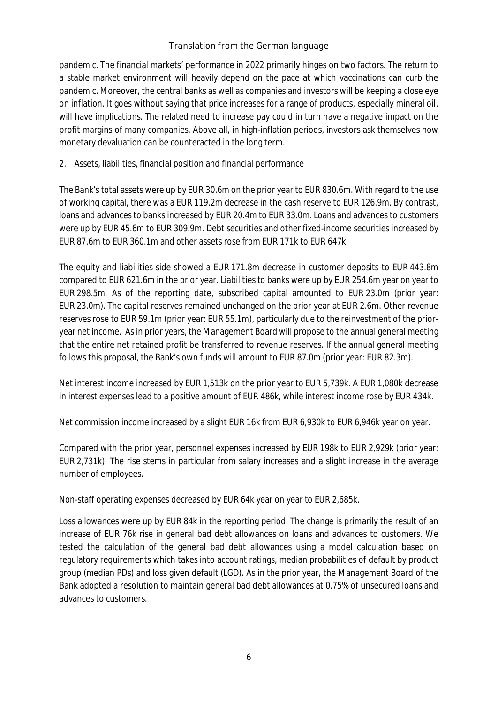pandemic. The financial markets' performance in 2022 primarily hinges on two factors. The return to a stable market environment will heavily depend on the pace at which vaccinations can curb the pandemic. Moreover, the central banks as well as companies and investors will be keeping a close eye on inflation. It goes without saying that price increases for a range of products, especially mineral oil, will have implications. The related need to increase pay could in turn have a negative impact on the profit margins of many companies. Above all, in high-inflation periods, investors ask themselves how monetary devaluation can be counteracted in the long term.

2. Assets, liabilities, financial position and financial performance

The Bank's total assets were up by EUR 30.6m on the prior year to EUR 830.6m. With regard to the use of working capital, there was a EUR 119.2m decrease in the cash reserve to EUR 126.9m. By contrast, loans and advances to banks increased by EUR 20.4m to EUR 33.0m. Loans and advances to customers were up by EUR 45.6m to EUR 309.9m. Debt securities and other fixed-income securities increased by EUR 87.6m to EUR 360.1m and other assets rose from EUR 171k to EUR 647k.

The equity and liabilities side showed a EUR 171.8m decrease in customer deposits to EUR 443.8m compared to EUR 621.6m in the prior year. Liabilities to banks were up by EUR 254.6m year on year to EUR 298.5m. As of the reporting date, subscribed capital amounted to EUR 23.0m (prior year: EUR 23.0m). The capital reserves remained unchanged on the prior year at EUR 2.6m. Other revenue reserves rose to EUR 59.1m (prior year: EUR 55.1m), particularly due to the reinvestment of the prioryear net income. As in prior years, the Management Board will propose to the annual general meeting that the entire net retained profit be transferred to revenue reserves. If the annual general meeting follows this proposal, the Bank's own funds will amount to EUR 87.0m (prior year: EUR 82.3m).

Net interest income increased by EUR 1,513k on the prior year to EUR 5,739k. A EUR 1,080k decrease in interest expenses lead to a positive amount of EUR 486k, while interest income rose by EUR 434k.

Net commission income increased by a slight EUR 16k from EUR 6,930k to EUR 6,946k year on year.

Compared with the prior year, personnel expenses increased by EUR 198k to EUR 2,929k (prior year: EUR 2,731k). The rise stems in particular from salary increases and a slight increase in the average number of employees.

Non-staff operating expenses decreased by EUR 64k year on year to EUR 2,685k.

Loss allowances were up by EUR 84k in the reporting period. The change is primarily the result of an increase of EUR 76k rise in general bad debt allowances on loans and advances to customers. We tested the calculation of the general bad debt allowances using a model calculation based on regulatory requirements which takes into account ratings, median probabilities of default by product group (median PDs) and loss given default (LGD). As in the prior year, the Management Board of the Bank adopted a resolution to maintain general bad debt allowances at 0.75% of unsecured loans and advances to customers.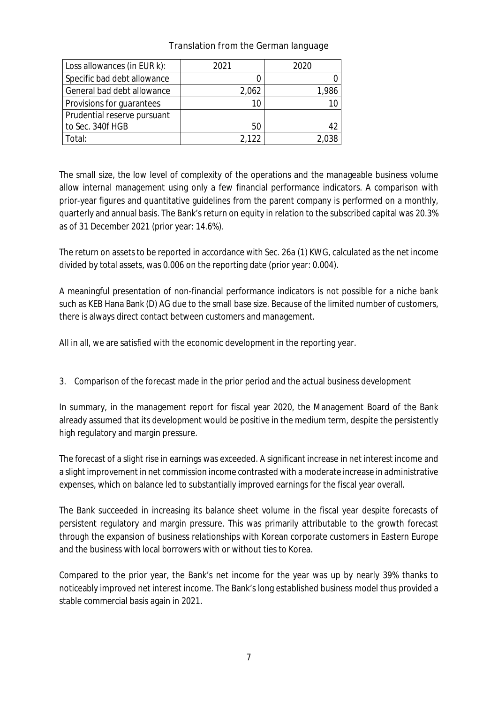| Loss allowances (in EUR k): | 2021  | 2020  |
|-----------------------------|-------|-------|
| Specific bad debt allowance |       | 0     |
| General bad debt allowance  | 2,062 | 1,986 |
| Provisions for guarantees   | 10    | 10    |
| Prudential reserve pursuant |       |       |
| to Sec. 340f HGB            | 50    | 42    |
| Total:                      | 2.122 | 2.038 |

The small size, the low level of complexity of the operations and the manageable business volume allow internal management using only a few financial performance indicators. A comparison with prior-year figures and quantitative guidelines from the parent company is performed on a monthly, quarterly and annual basis. The Bank's return on equity in relation to the subscribed capital was 20.3% as of 31 December 2021 (prior year: 14.6%).

The return on assets to be reported in accordance with Sec. 26a (1) KWG, calculated as the net income divided by total assets, was 0.006 on the reporting date (prior year: 0.004).

A meaningful presentation of non-financial performance indicators is not possible for a niche bank such as KEB Hana Bank (D) AG due to the small base size. Because of the limited number of customers, there is always direct contact between customers and management.

All in all, we are satisfied with the economic development in the reporting year.

3. Comparison of the forecast made in the prior period and the actual business development

In summary, in the management report for fiscal year 2020, the Management Board of the Bank already assumed that its development would be positive in the medium term, despite the persistently high regulatory and margin pressure.

The forecast of a slight rise in earnings was exceeded. A significant increase in net interest income and a slight improvement in net commission income contrasted with a moderate increase in administrative expenses, which on balance led to substantially improved earnings for the fiscal year overall.

The Bank succeeded in increasing its balance sheet volume in the fiscal year despite forecasts of persistent regulatory and margin pressure. This was primarily attributable to the growth forecast through the expansion of business relationships with Korean corporate customers in Eastern Europe and the business with local borrowers with or without ties to Korea.

Compared to the prior year, the Bank's net income for the year was up by nearly 39% thanks to noticeably improved net interest income. The Bank's long established business model thus provided a stable commercial basis again in 2021.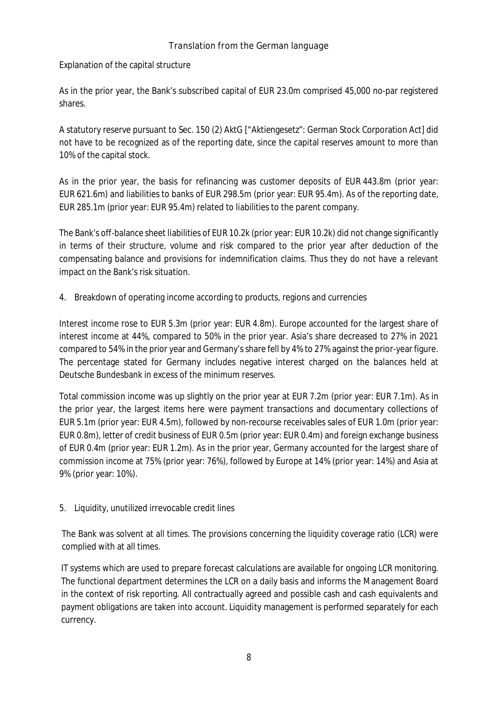Explanation of the capital structure

As in the prior year, the Bank's subscribed capital of EUR 23.0m comprised 45,000 no-par registered shares.

A statutory reserve pursuant to Sec. 150 (2) AktG ["Aktiengesetz": German Stock Corporation Act] did not have to be recognized as of the reporting date, since the capital reserves amount to more than 10% of the capital stock.

As in the prior year, the basis for refinancing was customer deposits of EUR 443.8m (prior year: EUR 621.6m) and liabilities to banks of EUR 298.5m (prior year: EUR 95.4m). As of the reporting date, EUR 285.1m (prior year: EUR 95.4m) related to liabilities to the parent company.

The Bank's off-balance sheet liabilities of EUR 10.2k (prior year: EUR 10.2k) did not change significantly in terms of their structure, volume and risk compared to the prior year after deduction of the compensating balance and provisions for indemnification claims. Thus they do not have a relevant impact on the Bank's risk situation.

4. Breakdown of operating income according to products, regions and currencies

Interest income rose to EUR 5.3m (prior year: EUR 4.8m). Europe accounted for the largest share of interest income at 44%, compared to 50% in the prior year. Asia's share decreased to 27% in 2021 compared to 54% in the prior year and Germany's share fell by 4% to 27% against the prior-year figure. The percentage stated for Germany includes negative interest charged on the balances held at Deutsche Bundesbank in excess of the minimum reserves.

Total commission income was up slightly on the prior year at EUR 7.2m (prior year: EUR 7.1m). As in the prior year, the largest items here were payment transactions and documentary collections of EUR 5.1m (prior year: EUR 4.5m), followed by non-recourse receivables sales of EUR 1.0m (prior year: EUR 0.8m), letter of credit business of EUR 0.5m (prior year: EUR 0.4m) and foreign exchange business of EUR 0.4m (prior year: EUR 1.2m). As in the prior year, Germany accounted for the largest share of commission income at 75% (prior year: 76%), followed by Europe at 14% (prior year: 14%) and Asia at 9% (prior year: 10%).

5. Liquidity, unutilized irrevocable credit lines

The Bank was solvent at all times. The provisions concerning the liquidity coverage ratio (LCR) were complied with at all times.

IT systems which are used to prepare forecast calculations are available for ongoing LCR monitoring. The functional department determines the LCR on a daily basis and informs the Management Board in the context of risk reporting. All contractually agreed and possible cash and cash equivalents and payment obligations are taken into account. Liquidity management is performed separately for each currency.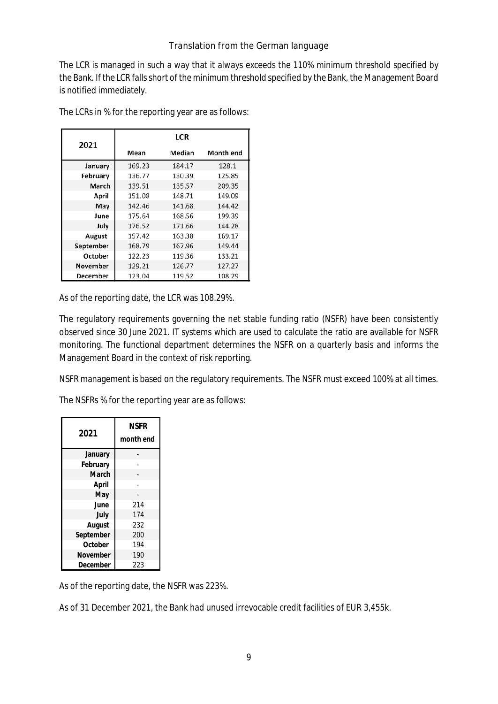The LCR is managed in such a way that it always exceeds the 110% minimum threshold specified by the Bank. If the LCR falls short of the minimum threshold specified by the Bank, the Management Board is notified immediately.

| 2021      | <b>LCR</b> |        |           |  |  |
|-----------|------------|--------|-----------|--|--|
|           | Mean       | Median | Month end |  |  |
| January   | 169.23     | 184.17 | 128.1     |  |  |
| February  | 136.77     | 130.39 | 125.85    |  |  |
| March     | 139.51     | 135.57 | 209.35    |  |  |
| April     | 151.08     | 148.71 | 149.09    |  |  |
| May       | 142.46     | 141.68 | 144.42    |  |  |
| June      | 175.64     | 168.56 | 199.39    |  |  |
| July      | 176.52     | 171.66 | 144.28    |  |  |
| August    | 157.42     | 163.38 | 169.17    |  |  |
| September | 168.79     | 167.96 | 149.44    |  |  |
| October   | 122.23     | 119.36 | 133.21    |  |  |
| November  | 129.21     | 126.77 | 127.27    |  |  |
| December  | 123.04     | 119.52 | 108.29    |  |  |

The LCRs in % for the reporting year are as follows:

As of the reporting date, the LCR was 108.29%.

The regulatory requirements governing the net stable funding ratio (NSFR) have been consistently observed since 30 June 2021. IT systems which are used to calculate the ratio are available for NSFR monitoring. The functional department determines the NSFR on a quarterly basis and informs the Management Board in the context of risk reporting.

NSFR management is based on the regulatory requirements. The NSFR must exceed 100% at all times.

The NSFRs % for the reporting year are as follows:

| 2021      | <b>NSFR</b><br>month end |  |
|-----------|--------------------------|--|
| January   |                          |  |
| February  |                          |  |
| March     |                          |  |
| April     |                          |  |
| May       |                          |  |
| June      | 214                      |  |
| July      | 174                      |  |
| August    | 232                      |  |
| September | 200                      |  |
| October   | 194                      |  |
| November  | 190                      |  |
| December  | 223                      |  |

As of the reporting date, the NSFR was 223%.

As of 31 December 2021, the Bank had unused irrevocable credit facilities of EUR 3,455k.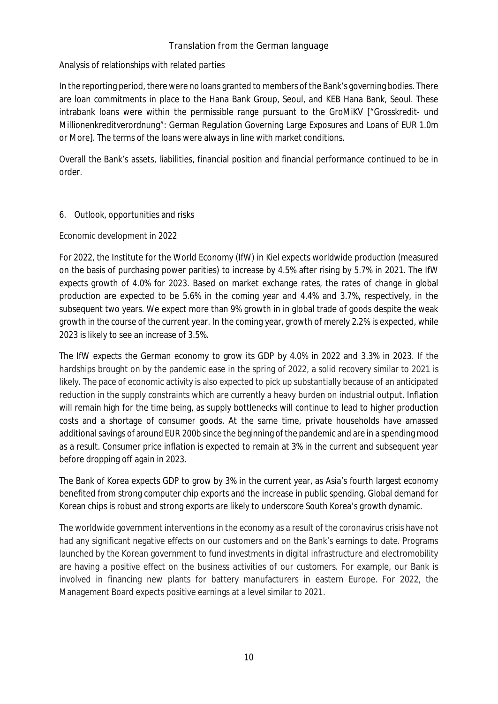### Analysis of relationships with related parties

In the reporting period, there were no loans granted to members of the Bank's governing bodies. There are loan commitments in place to the Hana Bank Group, Seoul, and KEB Hana Bank, Seoul. These intrabank loans were within the permissible range pursuant to the GroMiKV ["Grosskredit- und Millionenkreditverordnung": German Regulation Governing Large Exposures and Loans of EUR 1.0m or More]. The terms of the loans were always in line with market conditions.

Overall the Bank's assets, liabilities, financial position and financial performance continued to be in order.

### 6. Outlook, opportunities and risks

#### Economic development in 2022

For 2022, the Institute for the World Economy (IfW) in Kiel expects worldwide production (measured on the basis of purchasing power parities) to increase by 4.5% after rising by 5.7% in 2021. The IfW expects growth of 4.0% for 2023. Based on market exchange rates, the rates of change in global production are expected to be 5.6% in the coming year and 4.4% and 3.7%, respectively, in the subsequent two years. We expect more than 9% growth in in global trade of goods despite the weak growth in the course of the current year. In the coming year, growth of merely 2.2% is expected, while 2023 is likely to see an increase of 3.5%.

The IfW expects the German economy to grow its GDP by 4.0% in 2022 and 3.3% in 2023. If the hardships brought on by the pandemic ease in the spring of 2022, a solid recovery similar to 2021 is likely. The pace of economic activity is also expected to pick up substantially because of an anticipated reduction in the supply constraints which are currently a heavy burden on industrial output. Inflation will remain high for the time being, as supply bottlenecks will continue to lead to higher production costs and a shortage of consumer goods. At the same time, private households have amassed additional savings of around EUR 200b since the beginning of the pandemic and are in a spending mood as a result. Consumer price inflation is expected to remain at 3% in the current and subsequent year before dropping off again in 2023.

The Bank of Korea expects GDP to grow by 3% in the current year, as Asia's fourth largest economy benefited from strong computer chip exports and the increase in public spending. Global demand for Korean chips is robust and strong exports are likely to underscore South Korea's growth dynamic.

The worldwide government interventions in the economy as a result of the coronavirus crisis have not had any significant negative effects on our customers and on the Bank's earnings to date. Programs launched by the Korean government to fund investments in digital infrastructure and electromobility are having a positive effect on the business activities of our customers. For example, our Bank is involved in financing new plants for battery manufacturers in eastern Europe. For 2022, the Management Board expects positive earnings at a level similar to 2021.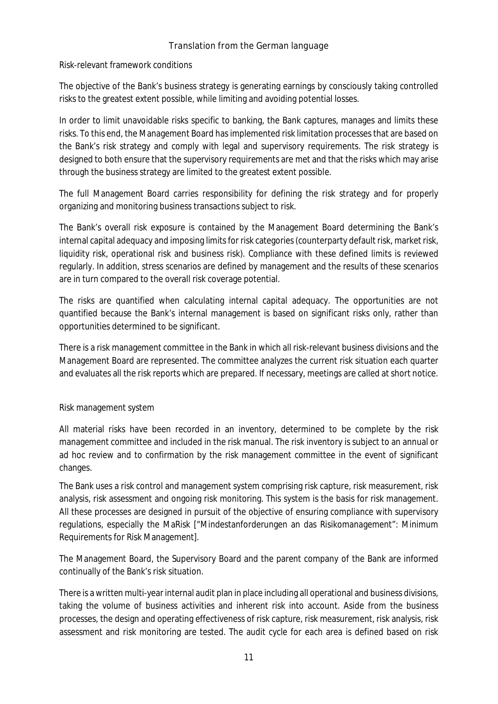#### Risk-relevant framework conditions

The objective of the Bank's business strategy is generating earnings by consciously taking controlled risks to the greatest extent possible, while limiting and avoiding potential losses.

In order to limit unavoidable risks specific to banking, the Bank captures, manages and limits these risks. To this end, the Management Board has implemented risk limitation processes that are based on the Bank's risk strategy and comply with legal and supervisory requirements. The risk strategy is designed to both ensure that the supervisory requirements are met and that the risks which may arise through the business strategy are limited to the greatest extent possible.

The full Management Board carries responsibility for defining the risk strategy and for properly organizing and monitoring business transactions subject to risk.

The Bank's overall risk exposure is contained by the Management Board determining the Bank's internal capital adequacy and imposing limits for risk categories (counterparty default risk, market risk, liquidity risk, operational risk and business risk). Compliance with these defined limits is reviewed regularly. In addition, stress scenarios are defined by management and the results of these scenarios are in turn compared to the overall risk coverage potential.

The risks are quantified when calculating internal capital adequacy. The opportunities are not quantified because the Bank's internal management is based on significant risks only, rather than opportunities determined to be significant.

There is a risk management committee in the Bank in which all risk-relevant business divisions and the Management Board are represented. The committee analyzes the current risk situation each quarter and evaluates all the risk reports which are prepared. If necessary, meetings are called at short notice.

### Risk management system

All material risks have been recorded in an inventory, determined to be complete by the risk management committee and included in the risk manual. The risk inventory is subject to an annual or ad hoc review and to confirmation by the risk management committee in the event of significant changes.

The Bank uses a risk control and management system comprising risk capture, risk measurement, risk analysis, risk assessment and ongoing risk monitoring. This system is the basis for risk management. All these processes are designed in pursuit of the objective of ensuring compliance with supervisory regulations, especially the MaRisk ["Mindestanforderungen an das Risikomanagement": Minimum Requirements for Risk Management].

The Management Board, the Supervisory Board and the parent company of the Bank are informed continually of the Bank's risk situation.

There is a written multi-year internal audit plan in place including all operational and business divisions, taking the volume of business activities and inherent risk into account. Aside from the business processes, the design and operating effectiveness of risk capture, risk measurement, risk analysis, risk assessment and risk monitoring are tested. The audit cycle for each area is defined based on risk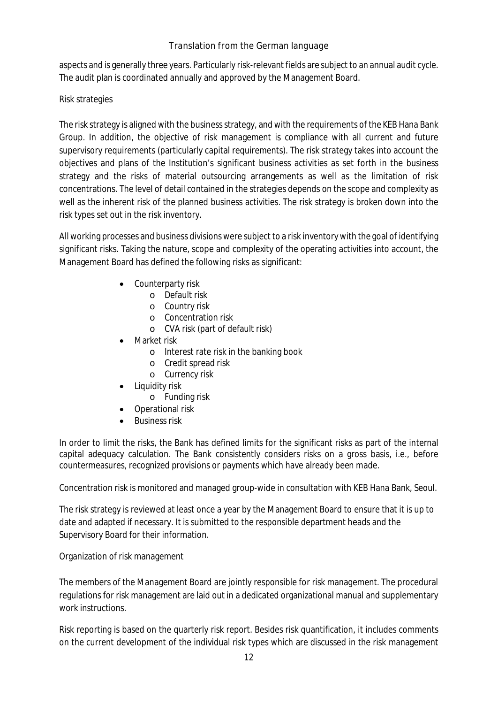aspects and is generally three years. Particularly risk-relevant fields are subject to an annual audit cycle. The audit plan is coordinated annually and approved by the Management Board.

### Risk strategies

The risk strategy is aligned with the business strategy, and with the requirements of the KEB Hana Bank Group. In addition, the objective of risk management is compliance with all current and future supervisory requirements (particularly capital requirements). The risk strategy takes into account the objectives and plans of the Institution's significant business activities as set forth in the business strategy and the risks of material outsourcing arrangements as well as the limitation of risk concentrations. The level of detail contained in the strategies depends on the scope and complexity as well as the inherent risk of the planned business activities. The risk strategy is broken down into the risk types set out in the risk inventory.

All working processes and business divisions were subject to a risk inventory with the goal of identifying significant risks. Taking the nature, scope and complexity of the operating activities into account, the Management Board has defined the following risks as significant:

- Counterparty risk
	- o Default risk
	- o Country risk
	- o Concentration risk
	- o CVA risk (part of default risk)
- Market risk
	- o Interest rate risk in the banking book
	- o Credit spread risk
	- o Currency risk
- Liquidity risk
	- o Funding risk
- Operational risk
- Business risk

In order to limit the risks, the Bank has defined limits for the significant risks as part of the internal capital adequacy calculation. The Bank consistently considers risks on a gross basis, i.e., before countermeasures, recognized provisions or payments which have already been made.

Concentration risk is monitored and managed group-wide in consultation with KEB Hana Bank, Seoul.

The risk strategy is reviewed at least once a year by the Management Board to ensure that it is up to date and adapted if necessary. It is submitted to the responsible department heads and the Supervisory Board for their information.

### Organization of risk management

The members of the Management Board are jointly responsible for risk management. The procedural regulations for risk management are laid out in a dedicated organizational manual and supplementary work instructions.

Risk reporting is based on the quarterly risk report. Besides risk quantification, it includes comments on the current development of the individual risk types which are discussed in the risk management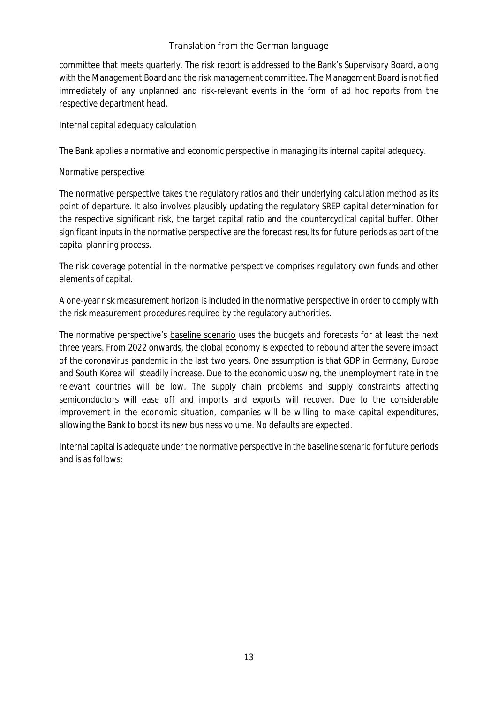committee that meets quarterly. The risk report is addressed to the Bank's Supervisory Board, along with the Management Board and the risk management committee. The Management Board is notified immediately of any unplanned and risk-relevant events in the form of ad hoc reports from the respective department head.

Internal capital adequacy calculation

The Bank applies a normative and economic perspective in managing its internal capital adequacy.

Normative perspective

The normative perspective takes the regulatory ratios and their underlying calculation method as its point of departure. It also involves plausibly updating the regulatory SREP capital determination for the respective significant risk, the target capital ratio and the countercyclical capital buffer. Other significant inputs in the normative perspective are the forecast results for future periods as part of the capital planning process.

The risk coverage potential in the normative perspective comprises regulatory own funds and other elements of capital.

A one-year risk measurement horizon is included in the normative perspective in order to comply with the risk measurement procedures required by the regulatory authorities.

The normative perspective's baseline scenario uses the budgets and forecasts for at least the next three years. From 2022 onwards, the global economy is expected to rebound after the severe impact of the coronavirus pandemic in the last two years. One assumption is that GDP in Germany, Europe and South Korea will steadily increase. Due to the economic upswing, the unemployment rate in the relevant countries will be low. The supply chain problems and supply constraints affecting semiconductors will ease off and imports and exports will recover. Due to the considerable improvement in the economic situation, companies will be willing to make capital expenditures, allowing the Bank to boost its new business volume. No defaults are expected.

Internal capital is adequate under the normative perspective in the baseline scenario for future periods and is as follows: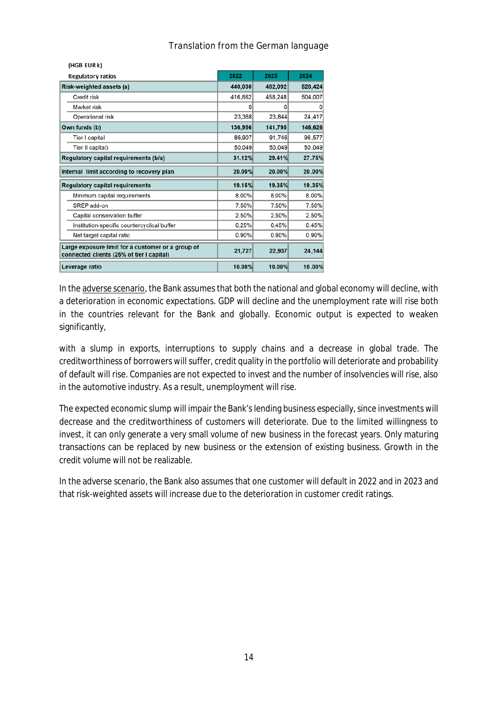| (HGB EUR k)                                                                                    |         |         |         |
|------------------------------------------------------------------------------------------------|---------|---------|---------|
| <b>Regulatory ratios</b>                                                                       | 2022    | 2023    | 2024    |
| Risk-weighted assets (a)                                                                       | 440,030 | 482,092 | 528,424 |
| Credit risk                                                                                    | 416,662 | 458,248 | 504,007 |
| Market risk                                                                                    | ٥       | O       | Ω       |
| Operational risk                                                                               | 23,368  | 23,844  | 24,417  |
| Own funds (b)                                                                                  | 136,956 | 141,795 | 146,626 |
| Tier I capital                                                                                 | 86,907  | 91,746  | 96,577  |
| Tier II capital)                                                                               | 50,049  | 50,049  | 50,049  |
| Regulatory capital requirements (b/a)                                                          | 31.12%  | 29.41%  | 27.75%  |
| Internal limit according to recovery plan                                                      | 20.00%  | 20.00%  | 20.00%  |
| <b>Regulatory capital requirements</b>                                                         | 19.15%  | 19.35%  | 19.35%  |
| Minimum capital requirements                                                                   | 8.00%   | 8.00%   | 8.00%   |
| SREP add-on                                                                                    | 7.50%   | 7.50%   | 7.50%   |
| Capital conservation buffer                                                                    | 2.50%   | 2.50%   | 2.50%   |
| Institution-specific countercyclical buffer                                                    | 0.25%   | 0.45%   | 0.45%   |
| Net target capital ratio                                                                       | 0.90%   | 0.90%   | 0.90%   |
| Large exposure limit for a customer or a group of<br>connected clients (25% of tier I capital) | 21,727  | 22,937  | 24,144  |
| Leverage ratio                                                                                 | 10.00%  | 10.00%  | 10.00%  |

 $\cdots$   $\cdots$   $\cdots$   $\cdots$ 

In the adverse scenario, the Bank assumes that both the national and global economy will decline, with a deterioration in economic expectations. GDP will decline and the unemployment rate will rise both in the countries relevant for the Bank and globally. Economic output is expected to weaken significantly,

with a slump in exports, interruptions to supply chains and a decrease in global trade. The creditworthiness of borrowers will suffer, credit quality in the portfolio will deteriorate and probability of default will rise. Companies are not expected to invest and the number of insolvencies will rise, also in the automotive industry. As a result, unemployment will rise.

The expected economic slump will impair the Bank's lending business especially, since investments will decrease and the creditworthiness of customers will deteriorate. Due to the limited willingness to invest, it can only generate a very small volume of new business in the forecast years. Only maturing transactions can be replaced by new business or the extension of existing business. Growth in the credit volume will not be realizable.

In the adverse scenario, the Bank also assumes that one customer will default in 2022 and in 2023 and that risk-weighted assets will increase due to the deterioration in customer credit ratings.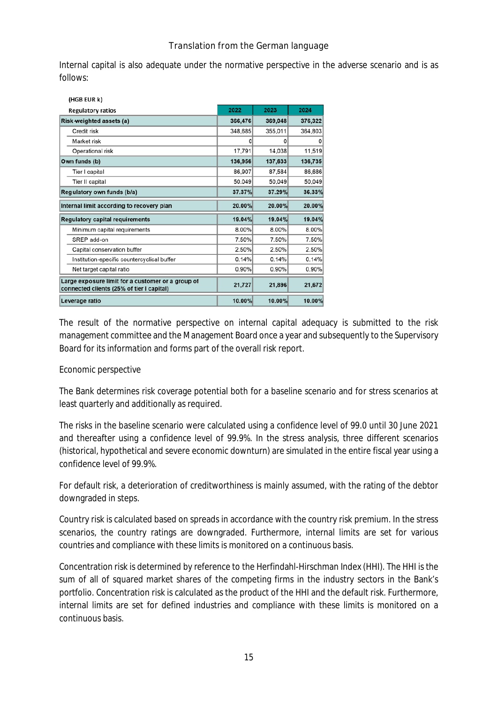Internal capital is also adequate under the normative perspective in the adverse scenario and is as follows:

| (HGB EUR k)                                                                                    |         |         |          |
|------------------------------------------------------------------------------------------------|---------|---------|----------|
| <b>Regulatory ratios</b>                                                                       | 2022    | 2023    | 2024     |
| Risk-weighted assets (a)                                                                       | 366,476 | 369,048 | 376,322  |
| Credit risk                                                                                    | 348,685 | 355,011 | 364,803  |
| Market risk                                                                                    | O       | 0       | $\Omega$ |
| Operational risk                                                                               | 17,791  | 14,038  | 11,519   |
| Own funds (b)                                                                                  | 136,956 | 137,633 | 136,735  |
| Tier I capital                                                                                 | 86,907  | 87,584  | 86,686   |
| Tier II capital                                                                                | 50.049  | 50,049  | 50,049   |
| Regulatory own funds (b/a)                                                                     | 37.37%  | 37.29%  | 36.33%   |
| Internal limit according to recovery plan                                                      | 20.00%  | 20.00%  | 20.00%   |
| <b>Regulatory capital requirements</b>                                                         | 19.04%  | 19.04%  | 19.04%   |
| Minimum capital requirements                                                                   | 8.00%   | 8.00%   | 8.00%    |
| SREP add-on                                                                                    | 7.50%   | 7.50%   | 7.50%    |
| Capital conservation buffer                                                                    | 2.50%   | 2.50%   | 2.50%    |
| Institution-specific countercyclical buffer                                                    | 0.14%   | 0.14%   | 0.14%    |
| Net target capital ratio                                                                       | 0.90%   | 0.90%   | 0.90%    |
| Large exposure limit for a customer or a group of<br>connected clients (25% of tier I capital) | 21,727  | 21,896  | 21,672   |
| Leverage ratio                                                                                 | 10.00%  | 10.00%  | 10.00%   |

The result of the normative perspective on internal capital adequacy is submitted to the risk management committee and the Management Board once a year and subsequently to the Supervisory Board for its information and forms part of the overall risk report.

#### Economic perspective

The Bank determines risk coverage potential both for a baseline scenario and for stress scenarios at least quarterly and additionally as required.

The risks in the baseline scenario were calculated using a confidence level of 99.0 until 30 June 2021 and thereafter using a confidence level of 99.9%. In the stress analysis, three different scenarios (historical, hypothetical and severe economic downturn) are simulated in the entire fiscal year using a confidence level of 99.9%.

For default risk, a deterioration of creditworthiness is mainly assumed, with the rating of the debtor downgraded in steps.

Country risk is calculated based on spreads in accordance with the country risk premium. In the stress scenarios, the country ratings are downgraded. Furthermore, internal limits are set for various countries and compliance with these limits is monitored on a continuous basis.

Concentration risk is determined by reference to the Herfindahl-Hirschman Index (HHI). The HHI is the sum of all of squared market shares of the competing firms in the industry sectors in the Bank's portfolio. Concentration risk is calculated as the product of the HHI and the default risk. Furthermore, internal limits are set for defined industries and compliance with these limits is monitored on a continuous basis.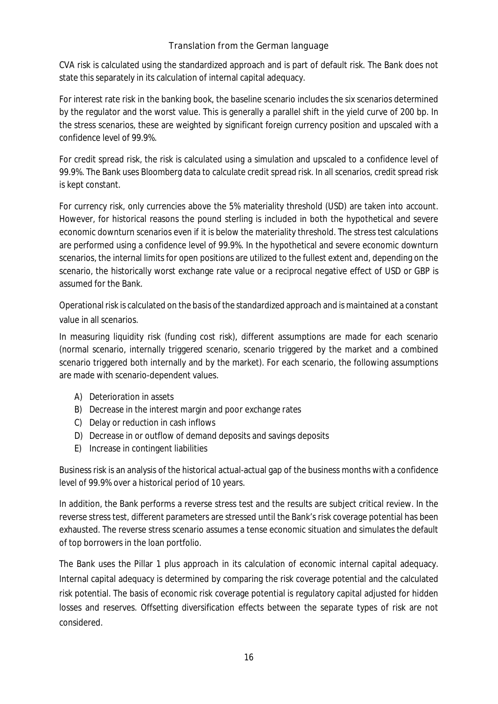CVA risk is calculated using the standardized approach and is part of default risk. The Bank does not state this separately in its calculation of internal capital adequacy.

For interest rate risk in the banking book, the baseline scenario includes the six scenarios determined by the regulator and the worst value. This is generally a parallel shift in the yield curve of 200 bp. In the stress scenarios, these are weighted by significant foreign currency position and upscaled with a confidence level of 99.9%.

For credit spread risk, the risk is calculated using a simulation and upscaled to a confidence level of 99.9%. The Bank uses Bloomberg data to calculate credit spread risk. In all scenarios, credit spread risk is kept constant.

For currency risk, only currencies above the 5% materiality threshold (USD) are taken into account. However, for historical reasons the pound sterling is included in both the hypothetical and severe economic downturn scenarios even if it is below the materiality threshold. The stress test calculations are performed using a confidence level of 99.9%. In the hypothetical and severe economic downturn scenarios, the internal limits for open positions are utilized to the fullest extent and, depending on the scenario, the historically worst exchange rate value or a reciprocal negative effect of USD or GBP is assumed for the Bank.

Operational risk is calculated on the basis of the standardized approach and is maintained at a constant value in all scenarios.

In measuring liquidity risk (funding cost risk), different assumptions are made for each scenario (normal scenario, internally triggered scenario, scenario triggered by the market and a combined scenario triggered both internally and by the market). For each scenario, the following assumptions are made with scenario-dependent values.

- A) Deterioration in assets
- B) Decrease in the interest margin and poor exchange rates
- C) Delay or reduction in cash inflows
- D) Decrease in or outflow of demand deposits and savings deposits
- E) Increase in contingent liabilities

Business risk is an analysis of the historical actual-actual gap of the business months with a confidence level of 99.9% over a historical period of 10 years.

In addition, the Bank performs a reverse stress test and the results are subject critical review. In the reverse stress test, different parameters are stressed until the Bank's risk coverage potential has been exhausted. The reverse stress scenario assumes a tense economic situation and simulates the default of top borrowers in the loan portfolio.

The Bank uses the Pillar 1 plus approach in its calculation of economic internal capital adequacy. Internal capital adequacy is determined by comparing the risk coverage potential and the calculated risk potential. The basis of economic risk coverage potential is regulatory capital adjusted for hidden losses and reserves. Offsetting diversification effects between the separate types of risk are not considered.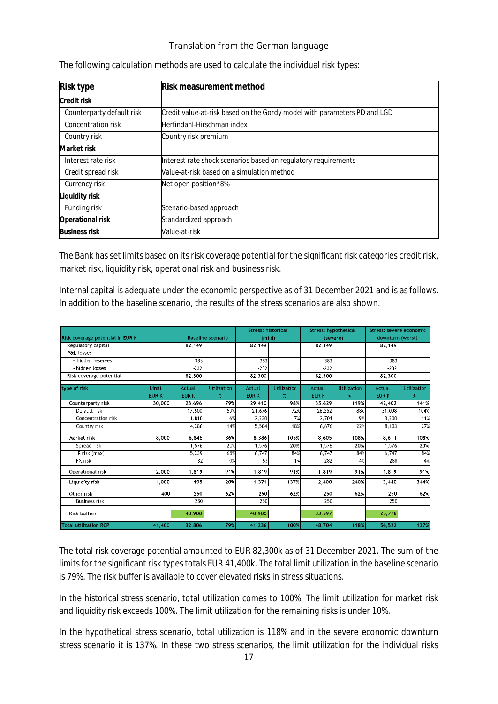| Risk type                 | Risk measurement method                                                  |
|---------------------------|--------------------------------------------------------------------------|
| Credit risk               |                                                                          |
| Counterparty default risk | Credit value-at-risk based on the Gordy model with parameters PD and LGD |
| Concentration risk        | Herfindahl-Hirschman index                                               |
| Country risk              | Country risk premium                                                     |
| Market risk               |                                                                          |
| Interest rate risk        | Interest rate shock scenarios based on regulatory requirements           |
| Credit spread risk        | Value-at-risk based on a simulation method                               |
| Currency risk             | Net open position*8%                                                     |
| Liquidity risk            |                                                                          |
| Funding risk              | Scenario-based approach                                                  |
| Operational risk          | Standardized approach                                                    |
| <b>Business risk</b>      | Value-at-risk                                                            |

The following calculation methods are used to calculate the individual risk types:

The Bank has set limits based on its risk coverage potential for the significant risk categories credit risk, market risk, liquidity risk, operational risk and business risk.

Internal capital is adequate under the economic perspective as of 31 December 2021 and is as follows. In addition to the baseline scenario, the results of the stress scenarios are also shown.

|                                  |             |                        |                          | <b>Stress: historical</b> |                    | <b>Stress: hypothetical</b> |                    | Stress: severe economic |                    |
|----------------------------------|-------------|------------------------|--------------------------|---------------------------|--------------------|-----------------------------|--------------------|-------------------------|--------------------|
| Risk coverage potential in EUR K |             |                        | <b>Baseline scenario</b> |                           | (mild)<br>(severe) |                             | downturn (worst)   |                         |                    |
| Regulatory capital               |             | 82.149                 |                          | 82,149                    |                    | 82,149                      |                    | 82,149                  |                    |
| Pfil losses                      |             |                        |                          |                           |                    |                             |                    |                         |                    |
| + hidden reserves                |             | 383                    |                          | 383                       |                    | 383                         |                    | 383                     |                    |
| - hidden losses                  |             | $-232$                 |                          | $-232$                    |                    | $-232$                      |                    | $-232$                  |                    |
| Risk coverage potential          |             | 82,300                 |                          | 82.300                    |                    | 82.300                      |                    | 82,300                  |                    |
| type of risk                     | Limit       |                        | <b>Utilization</b>       | Actual                    | <b>Utilization</b> | Actual                      | <b>Utilization</b> | Actual                  | <b>Utilization</b> |
|                                  | <b>EURK</b> | Actual<br><b>EUR k</b> | $\%$                     | <b>EURK</b>               | $\%$               | <b>EURK</b>                 | %                  | <b>EURK</b>             | $\%$               |
| <b>Counterparty risk</b>         | 30,000      | 23,696                 | 79%                      | 29,410                    | 98%                | 35,629                      | 119%               | 42,402                  | 141%               |
| Default risk                     |             | 17,600                 | 59%                      | 21,676                    | 72%                | 26,252                      | 88%                | 31,098                  | 104%               |
| Concentration risk               |             | 1,810                  | 6%                       | 2.230                     | 7%                 | 2.701                       | 9%                 | 3.200                   | 11%                |
| Country risk                     |             | 4,286                  | 14%                      | 5,504                     | 18%                | 6,676                       | 22%                | 8,103                   | 27%                |
|                                  |             |                        |                          |                           |                    |                             |                    |                         |                    |
| Market risk                      | 8,000       | 6,846                  | 86%                      | 8,386                     | 105%               | 8,605                       | 108%               | 8,611                   | 108%               |
| Spread risk                      |             | 1,576                  | 20%                      | 1,576                     | 20%                | 1,576                       | 20%                | 1,576                   | 20%                |
| IR risk (max)                    |             | 5,239                  | 65%                      | 6,747                     | 84%                | 6,747                       | 84%                | 6,747                   | 84%                |
| FX risk                          |             | 32                     | 0%                       | 63                        | 1%                 | 282                         | 4%                 | 288                     | 4%                 |
| <b>Operational risk</b>          | 2,000       | 1,819                  | 91%                      | 1,819                     | 91%                | 1,819                       | 91%                | 1,819                   | 91%                |
| Liquidity risk                   | 1,000       | 195                    | 20%                      | 1,371                     | 137%               | 2,400                       | 240%               | 3,440                   | 344%               |
| Other risk                       | 400         | 250                    | 62%                      | 250                       | 62%                | 250                         | 62%                | 250                     | 62%                |
| <b>Business risk</b>             |             | 250                    |                          | 250                       |                    | 250                         |                    | 250                     |                    |
| <b>Risk buffers</b>              |             | 40,900                 |                          | 40,900                    |                    | 33.597                      |                    | 25,778                  |                    |
| <b>Total utilization RCP</b>     | 41,400      | 32,806                 | 79%                      | 41,236                    | 100%               | 48,704                      | 118%               | 56.522                  | 137%               |

The total risk coverage potential amounted to EUR 82,300k as of 31 December 2021. The sum of the limits for the significant risk types totals EUR 41,400k. The total limit utilization in the baseline scenario is 79%. The risk buffer is available to cover elevated risks in stress situations.

In the historical stress scenario, total utilization comes to 100%. The limit utilization for market risk and liquidity risk exceeds 100%. The limit utilization for the remaining risks is under 10%.

In the hypothetical stress scenario, total utilization is 118% and in the severe economic downturn stress scenario it is 137%. In these two stress scenarios, the limit utilization for the individual risks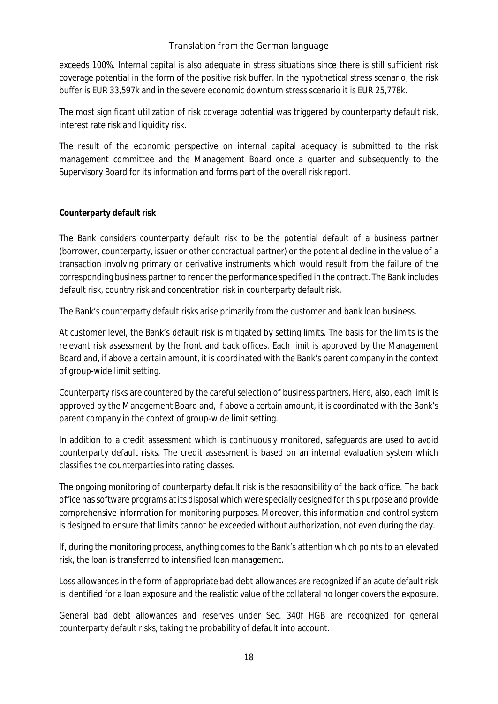exceeds 100%. Internal capital is also adequate in stress situations since there is still sufficient risk coverage potential in the form of the positive risk buffer. In the hypothetical stress scenario, the risk buffer is EUR 33,597k and in the severe economic downturn stress scenario it is EUR 25,778k.

The most significant utilization of risk coverage potential was triggered by counterparty default risk, interest rate risk and liquidity risk.

The result of the economic perspective on internal capital adequacy is submitted to the risk management committee and the Management Board once a quarter and subsequently to the Supervisory Board for its information and forms part of the overall risk report.

### **Counterparty default risk**

The Bank considers counterparty default risk to be the potential default of a business partner (borrower, counterparty, issuer or other contractual partner) or the potential decline in the value of a transaction involving primary or derivative instruments which would result from the failure of the corresponding business partner to render the performance specified in the contract. The Bank includes default risk, country risk and concentration risk in counterparty default risk.

The Bank's counterparty default risks arise primarily from the customer and bank loan business.

At customer level, the Bank's default risk is mitigated by setting limits. The basis for the limits is the relevant risk assessment by the front and back offices. Each limit is approved by the Management Board and, if above a certain amount, it is coordinated with the Bank's parent company in the context of group-wide limit setting.

Counterparty risks are countered by the careful selection of business partners. Here, also, each limit is approved by the Management Board and, if above a certain amount, it is coordinated with the Bank's parent company in the context of group-wide limit setting.

In addition to a credit assessment which is continuously monitored, safeguards are used to avoid counterparty default risks. The credit assessment is based on an internal evaluation system which classifies the counterparties into rating classes.

The ongoing monitoring of counterparty default risk is the responsibility of the back office. The back office has software programs at its disposal which were specially designed for this purpose and provide comprehensive information for monitoring purposes. Moreover, this information and control system is designed to ensure that limits cannot be exceeded without authorization, not even during the day.

If, during the monitoring process, anything comes to the Bank's attention which points to an elevated risk, the loan is transferred to intensified loan management.

Loss allowances in the form of appropriate bad debt allowances are recognized if an acute default risk is identified for a loan exposure and the realistic value of the collateral no longer covers the exposure.

General bad debt allowances and reserves under Sec. 340f HGB are recognized for general counterparty default risks, taking the probability of default into account.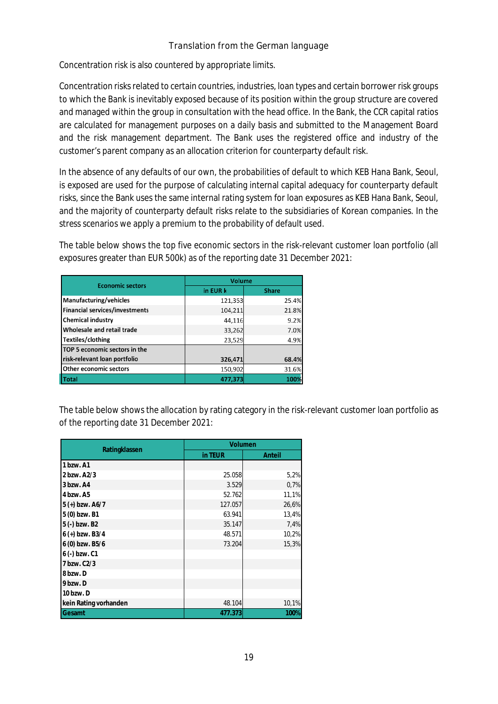Concentration risk is also countered by appropriate limits.

Concentration risks related to certain countries, industries, loan types and certain borrower risk groups to which the Bank is inevitably exposed because of its position within the group structure are covered and managed within the group in consultation with the head office. In the Bank, the CCR capital ratios are calculated for management purposes on a daily basis and submitted to the Management Board and the risk management department. The Bank uses the registered office and industry of the customer's parent company as an allocation criterion for counterparty default risk.

In the absence of any defaults of our own, the probabilities of default to which KEB Hana Bank, Seoul, is exposed are used for the purpose of calculating internal capital adequacy for counterparty default risks, since the Bank uses the same internal rating system for loan exposures as KEB Hana Bank, Seoul, and the majority of counterparty default risks relate to the subsidiaries of Korean companies. In the stress scenarios we apply a premium to the probability of default used.

The table below shows the top five economic sectors in the risk-relevant customer loan portfolio (all exposures greater than EUR 500k) as of the reporting date 31 December 2021:

| <b>Economic sectors</b>               | Volume   |              |  |  |
|---------------------------------------|----------|--------------|--|--|
|                                       | in EUR k | <b>Share</b> |  |  |
| <b>Manufacturing/vehicles</b>         | 121,353  | 25.4%        |  |  |
| <b>Financial services/investments</b> | 104,211  | 21.8%        |  |  |
| <b>Chemical industry</b>              | 44,116   | 9.2%         |  |  |
| Wholesale and retail trade            | 33,262   | 7.0%         |  |  |
| Textiles/clothing                     | 23,529   | 4.9%         |  |  |
| TOP 5 economic sectors in the         |          |              |  |  |
| risk-relevant loan portfolio          | 326,471  | 68.4%        |  |  |
| Other economic sectors                | 150,902  | 31.6%        |  |  |
| <b>Total</b>                          | 477,373  | 100%         |  |  |

The table below shows the allocation by rating category in the risk-relevant customer loan portfolio as of the reporting date 31 December 2021:

|                       | Volumen |        |  |  |
|-----------------------|---------|--------|--|--|
| Ratingklassen         | in TEUR | Anteil |  |  |
| 1 bzw. A1             |         |        |  |  |
| 2 bzw. A2/3           | 25.058  | 5,2%   |  |  |
| 3 bzw. A4             | 3.529   | 0,7%   |  |  |
| 4 bzw. A5             | 52.762  | 11,1%  |  |  |
| 5 (+) bzw. A6/7       | 127.057 | 26,6%  |  |  |
| 5 (0) bzw. B1         | 63.941  | 13,4%  |  |  |
| 5 (-) bzw. B2         | 35.147  | 7,4%   |  |  |
| $6 (+)$ bzw. B3/4     | 48.571  | 10,2%  |  |  |
| 6 (0) bzw. B5/6       | 73.204  | 15,3%  |  |  |
| 6 (-) bzw. C1         |         |        |  |  |
| 7 bzw. C2/3           |         |        |  |  |
| 8 bzw. D              |         |        |  |  |
| 9 bzw. D              |         |        |  |  |
| 10 bzw. D             |         |        |  |  |
| kein Rating vorhanden | 48.104  | 10,1%  |  |  |
| Gesamt                | 477.373 | 100%   |  |  |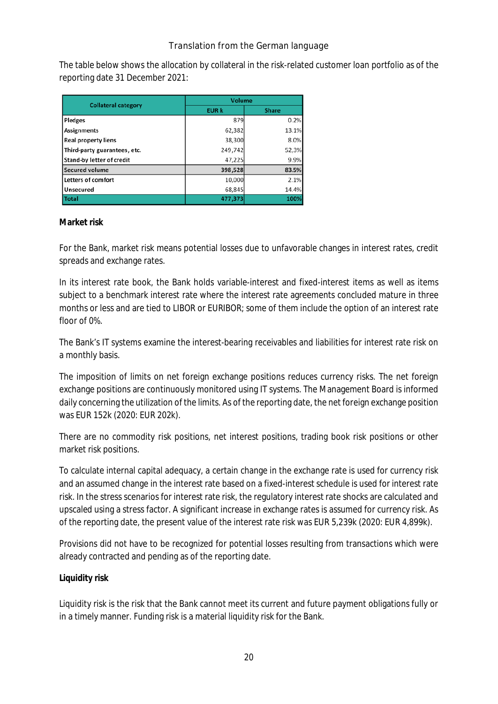The table below shows the allocation by collateral in the risk-related customer loan portfolio as of the reporting date 31 December 2021:

| <b>Collateral category</b>   | <b>Volume</b> |              |  |  |
|------------------------------|---------------|--------------|--|--|
|                              | <b>EUR k</b>  | <b>Share</b> |  |  |
| <b>Pledges</b>               | 879           | 0.2%         |  |  |
| <b>Assignments</b>           | 62,382        | 13.1%        |  |  |
| <b>Real property liens</b>   | 38,300        | 8.0%         |  |  |
| Third-party guarantees, etc. | 249,742       | 52,3%        |  |  |
| Stand-by letter of credit    | 47,225        | 9.9%         |  |  |
| <b>Secured volume</b>        | 398,528       | 83.5%        |  |  |
| Letters of comfort           | 10,000        | 2.1%         |  |  |
| Unsecured                    | 68,845        | 14.4%        |  |  |
| Total                        | 477,373       | 100%         |  |  |

#### **Market risk**

For the Bank, market risk means potential losses due to unfavorable changes in interest rates, credit spreads and exchange rates.

In its interest rate book, the Bank holds variable-interest and fixed-interest items as well as items subject to a benchmark interest rate where the interest rate agreements concluded mature in three months or less and are tied to LIBOR or EURIBOR; some of them include the option of an interest rate floor of 0%.

The Bank's IT systems examine the interest-bearing receivables and liabilities for interest rate risk on a monthly basis.

The imposition of limits on net foreign exchange positions reduces currency risks. The net foreign exchange positions are continuously monitored using IT systems. The Management Board is informed daily concerning the utilization of the limits. As of the reporting date, the net foreign exchange position was EUR 152k (2020: EUR 202k).

There are no commodity risk positions, net interest positions, trading book risk positions or other market risk positions.

To calculate internal capital adequacy, a certain change in the exchange rate is used for currency risk and an assumed change in the interest rate based on a fixed-interest schedule is used for interest rate risk. In the stress scenarios for interest rate risk, the regulatory interest rate shocks are calculated and upscaled using a stress factor. A significant increase in exchange rates is assumed for currency risk. As of the reporting date, the present value of the interest rate risk was EUR 5,239k (2020: EUR 4,899k).

Provisions did not have to be recognized for potential losses resulting from transactions which were already contracted and pending as of the reporting date.

#### **Liquidity risk**

Liquidity risk is the risk that the Bank cannot meet its current and future payment obligations fully or in a timely manner. Funding risk is a material liquidity risk for the Bank.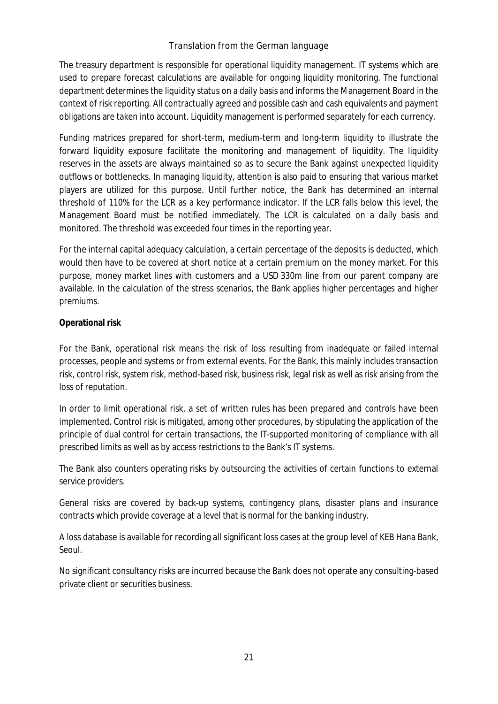The treasury department is responsible for operational liquidity management. IT systems which are used to prepare forecast calculations are available for ongoing liquidity monitoring. The functional department determines the liquidity status on a daily basis and informs the Management Board in the context of risk reporting. All contractually agreed and possible cash and cash equivalents and payment obligations are taken into account. Liquidity management is performed separately for each currency.

Funding matrices prepared for short-term, medium-term and long-term liquidity to illustrate the forward liquidity exposure facilitate the monitoring and management of liquidity. The liquidity reserves in the assets are always maintained so as to secure the Bank against unexpected liquidity outflows or bottlenecks. In managing liquidity, attention is also paid to ensuring that various market players are utilized for this purpose. Until further notice, the Bank has determined an internal threshold of 110% for the LCR as a key performance indicator. If the LCR falls below this level, the Management Board must be notified immediately. The LCR is calculated on a daily basis and monitored. The threshold was exceeded four times in the reporting year.

For the internal capital adequacy calculation, a certain percentage of the deposits is deducted, which would then have to be covered at short notice at a certain premium on the money market. For this purpose, money market lines with customers and a USD 330m line from our parent company are available. In the calculation of the stress scenarios, the Bank applies higher percentages and higher premiums.

#### **Operational risk**

For the Bank, operational risk means the risk of loss resulting from inadequate or failed internal processes, people and systems or from external events. For the Bank, this mainly includes transaction risk, control risk, system risk, method-based risk, business risk, legal risk as well as risk arising from the loss of reputation.

In order to limit operational risk, a set of written rules has been prepared and controls have been implemented. Control risk is mitigated, among other procedures, by stipulating the application of the principle of dual control for certain transactions, the IT-supported monitoring of compliance with all prescribed limits as well as by access restrictions to the Bank's IT systems.

The Bank also counters operating risks by outsourcing the activities of certain functions to external service providers.

General risks are covered by back-up systems, contingency plans, disaster plans and insurance contracts which provide coverage at a level that is normal for the banking industry.

A loss database is available for recording all significant loss cases at the group level of KEB Hana Bank, Seoul.

No significant consultancy risks are incurred because the Bank does not operate any consulting-based private client or securities business.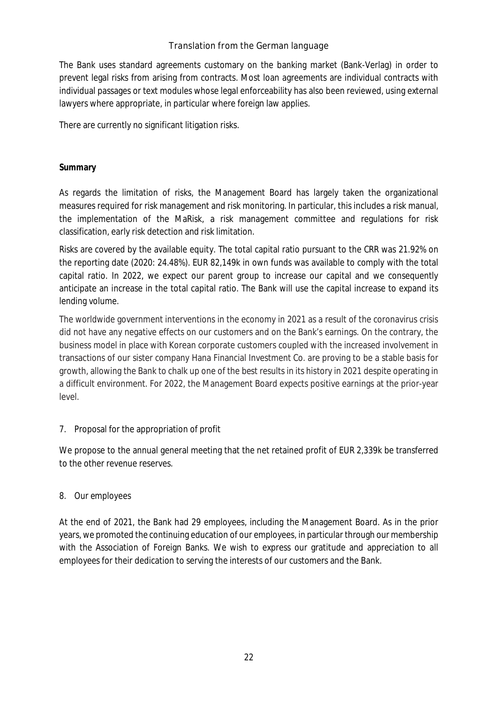The Bank uses standard agreements customary on the banking market (Bank-Verlag) in order to prevent legal risks from arising from contracts. Most loan agreements are individual contracts with individual passages or text modules whose legal enforceability has also been reviewed, using external lawyers where appropriate, in particular where foreign law applies.

There are currently no significant litigation risks.

### **Summary**

As regards the limitation of risks, the Management Board has largely taken the organizational measures required for risk management and risk monitoring. In particular, this includes a risk manual, the implementation of the MaRisk, a risk management committee and regulations for risk classification, early risk detection and risk limitation.

Risks are covered by the available equity. The total capital ratio pursuant to the CRR was 21.92% on the reporting date (2020: 24.48%). EUR 82,149k in own funds was available to comply with the total capital ratio. In 2022, we expect our parent group to increase our capital and we consequently anticipate an increase in the total capital ratio. The Bank will use the capital increase to expand its lending volume.

The worldwide government interventions in the economy in 2021 as a result of the coronavirus crisis did not have any negative effects on our customers and on the Bank's earnings. On the contrary, the business model in place with Korean corporate customers coupled with the increased involvement in transactions of our sister company Hana Financial Investment Co. are proving to be a stable basis for growth, allowing the Bank to chalk up one of the best results in its history in 2021 despite operating in a difficult environment. For 2022, the Management Board expects positive earnings at the prior-year level.

### 7. Proposal for the appropriation of profit

We propose to the annual general meeting that the net retained profit of EUR 2,339k be transferred to the other revenue reserves.

### 8. Our employees

At the end of 2021, the Bank had 29 employees, including the Management Board. As in the prior years, we promoted the continuing education of our employees, in particular through our membership with the Association of Foreign Banks. We wish to express our gratitude and appreciation to all employees for their dedication to serving the interests of our customers and the Bank.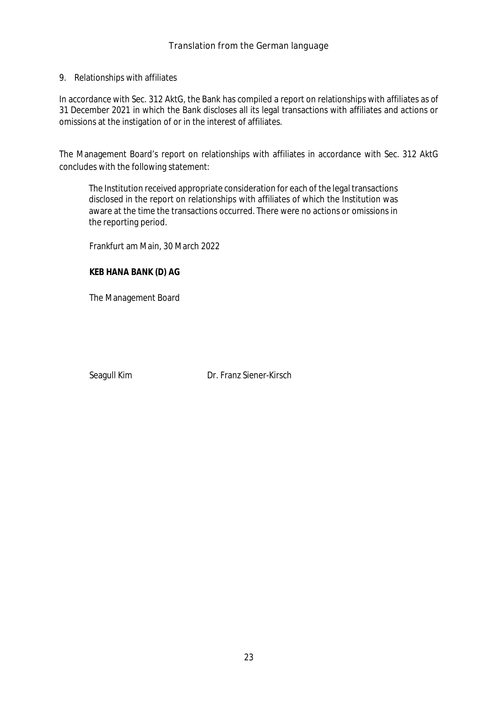9. Relationships with affiliates

In accordance with Sec. 312 AktG, the Bank has compiled a report on relationships with affiliates as of 31 December 2021 in which the Bank discloses all its legal transactions with affiliates and actions or omissions at the instigation of or in the interest of affiliates.

The Management Board's report on relationships with affiliates in accordance with Sec. 312 AktG concludes with the following statement:

The Institution received appropriate consideration for each of the legal transactions disclosed in the report on relationships with affiliates of which the Institution was aware at the time the transactions occurred. There were no actions or omissions in the reporting period.

Frankfurt am Main, 30 March 2022

**KEB HANA BANK (D) AG**

The Management Board

Seagull Kim Dr. Franz Siener-Kirsch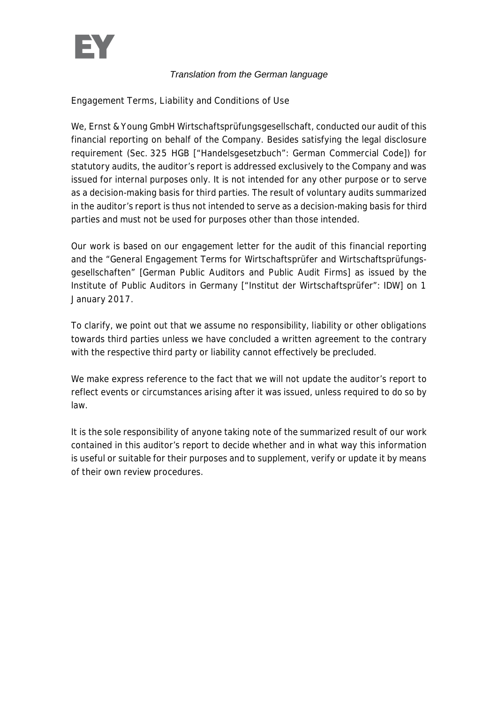

Engagement Terms, Liability and Conditions of Use

We, Ernst & Young GmbH Wirtschaftsprüfungsgesellschaft, conducted our audit of this financial reporting on behalf of the Company. Besides satisfying the legal disclosure requirement (Sec. 325 HGB ["Handelsgesetzbuch": German Commercial Code]) for statutory audits, the auditor's report is addressed exclusively to the Company and was issued for internal purposes only. It is not intended for any other purpose or to serve as a decision-making basis for third parties. The result of voluntary audits summarized in the auditor's report is thus not intended to serve as a decision-making basis for third parties and must not be used for purposes other than those intended.

Our work is based on our engagement letter for the audit of this financial reporting and the "General Engagement Terms for Wirtschaftsprüfer and Wirtschaftsprüfungsgesellschaften" [German Public Auditors and Public Audit Firms] as issued by the Institute of Public Auditors in Germany ["Institut der Wirtschaftsprüfer": IDW] on 1 January 2017.

To clarify, we point out that we assume no responsibility, liability or other obligations towards third parties unless we have concluded a written agreement to the contrary with the respective third party or liability cannot effectively be precluded.

We make express reference to the fact that we will not update the auditor's report to reflect events or circumstances arising after it was issued, unless required to do so by law.

It is the sole responsibility of anyone taking note of the summarized result of our work contained in this auditor's report to decide whether and in what way this information is useful or suitable for their purposes and to supplement, verify or update it by means of their own review procedures.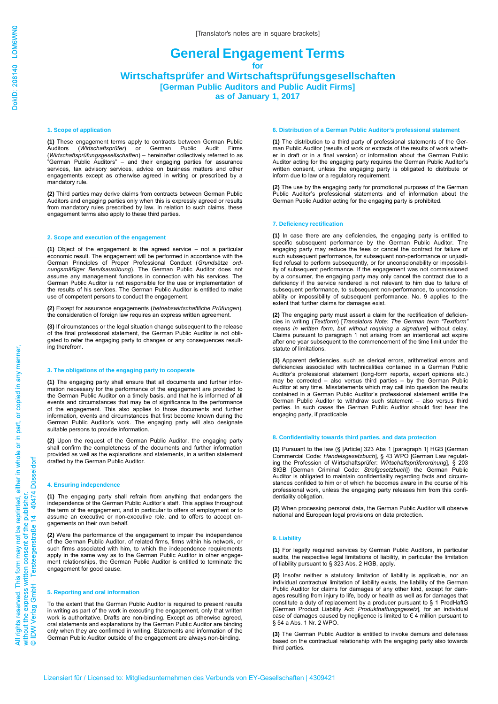#### **General Engagement Terms for Wirtschaftsprüfer and Wirtschaftsprüfungsgesellschaften [German Public Auditors and Public Audit Firms]**

**as of January 1, 2017**

#### **1. Scope of application**

**(1)** These engagement terms apply to contracts between German Public (*Wirtschaftsprüfer*) or German Public Audit Firms (*Wirtschaftsprüfungsgesellschaften*) – hereinafter collectively referred to as "German Public Auditors" – and their engaging parties for assurance services, tax advisory services, advice on business matters and other engagements except as otherwise agreed in writing or prescribed by a mandatory rule.

**(2)** Third parties may derive claims from contracts between German Public Auditors and engaging parties only when this is expressly agreed or results from mandatory rules prescribed by law. In relation to such claims, these engagement terms also apply to these third parties.

#### **2. Scope and execution of the engagement**

**(1)** Object of the engagement is the agreed service – not a particular economic result. The engagement will be performed in accordance with the German Principles of Proper Professional Conduct (*Grundsätze ordnungsmäßiger Berufsausübung*). The German Public Auditor does not assume any management functions in connection with his services. The German Public Auditor is not responsible for the use or implementation of the results of his services. The German Public Auditor is entitled to make use of competent persons to conduct the engagement.

**(2)** Except for assurance engagements (*betriebswirtschaftliche Prüfungen*), the consideration of foreign law requires an express written agreement.

**(3)** If circumstances or the legal situation change subsequent to the release of the final professional statement, the German Public Auditor is not obligated to refer the engaging party to changes or any consequences resulting therefrom.

#### **3. The obligations of the engaging party to cooperate**

**(1)** The engaging party shall ensure that all documents and further information necessary for the performance of the engagement are provided to the German Public Auditor on a timely basis, and that he is informed of all events and circumstances that may be of significance to the performance of the engagement. This also applies to those documents and further information, events and circumstances that first become known during the German Public Auditor's work. The engaging party will also designate suitable persons to provide information.

**(2)** Upon the request of the German Public Auditor, the engaging party shall confirm the completeness of the documents and further information provided as well as the explanations and statements, in a written statement drafted by the German Public Auditor.

#### **4. Ensuring independence**

**(1)** The engaging party shall refrain from anything that endangers the independence of the German Public Auditor's staff. This applies throughout the term of the engagement, and in particular to offers of employment or to assume an executive or non-executive role, and to offers to accept engagements on their own behalf.

**(2)** Were the performance of the engagement to impair the independence of the German Public Auditor, of related firms, firms within his network, or such firms associated with him, to which the independence requirements apply in the same way as to the German Public Auditor in other engagement relationships, the German Public Auditor is entitled to terminate the engagement for good cause.

#### **5. Reporting and oral information**

To the extent that the German Public Auditor is required to present results in writing as part of the work in executing the engagement, only that written work is authoritative. Drafts are non-binding. Except as otherwise agreed, oral statements and explanations by the German Public Auditor are binding only when they are confirmed in writing. Statements and information of the German Public Auditor outside of the engagement are always non-binding.

#### **6. Distribution of a German Public Auditor's professional statement**

**(1)** The distribution to a third party of professional statements of the German Public Auditor (results of work or extracts of the results of work whether in draft or in a final version) or information about the German Public Auditor acting for the engaging party requires the German Public Auditor's written consent, unless the engaging party is obligated to distribute or inform due to law or a regulatory requirement.

**(2)** The use by the engaging party for promotional purposes of the German Public Auditor's professional statements and of information about the German Public Auditor acting for the engaging party is prohibited.

#### **7. Deficiency rectification**

**(1)** In case there are any deficiencies, the engaging party is entitled to specific subsequent performance by the German Public Auditor. The engaging party may reduce the fees or cancel the contract for failure of such subsequent performance, for subsequent non-performance or unjustified refusal to perform subsequently, or for unconscionability or impossibility of subsequent performance. If the engagement was not commissioned by a consumer, the engaging party may only cancel the contract due to a deficiency if the service rendered is not relevant to him due to failure of subsequent performance, to subsequent non-performance, to unconscionability or impossibility of subsequent performance. No. 9 applies to the extent that further claims for damages exist.

**(2)** The engaging party must assert a claim for the rectification of deficiencies in writing (*Textform*) [*Translators Note: The German term "Textform" means in written form, but without requiring a signature*] without delay. Claims pursuant to paragraph 1 not arising from an intentional act expire after one year subsequent to the commencement of the time limit under the statute of limitations.

**(3)** Apparent deficiencies, such as clerical errors, arithmetical errors and deficiencies associated with technicalities contained in a German Public Auditor's professional statement (long-form reports, expert opinions etc.) may be corrected – also versus third parties – by the German Public Auditor at any time. Misstatements which may call into question the results contained in a German Public Auditor's professional statement entitle the German Public Auditor to withdraw such statement – also versus third parties. In such cases the German Public Auditor should first hear the engaging party, if practicable.

#### **8. Confidentiality towards third parties, and data protection**

**(1)** Pursuant to the law (§ [Article] 323 Abs 1 [paragraph 1] HGB [German Commercial Code: *Handelsgesetzbuch*], § 43 WPO [German Law regulating the Profession of Wirtschaftsprüfer: *Wirtschaftsprüferordnung*], § 203 StGB [German Criminal Code: *Strafgesetzbuch*]) the German Public Auditor is obligated to maintain confidentiality regarding facts and circumstances confided to him or of which he becomes aware in the course of his professional work, unless the engaging party releases him from this confidentiality obligation.

**(2)** When processing personal data, the German Public Auditor will observe national and European legal provisions on data protection.

#### **9. Liability**

**(1)** For legally required services by German Public Auditors, in particular audits, the respective legal limitations of liability, in particular the limitation of liability pursuant to § 323 Abs. 2 HGB, apply.

**(2)** Insofar neither a statutory limitation of liability is applicable, nor an individual contractual limitation of liability exists, the liability of the German Public Auditor for claims for damages of any other kind, except for damages resulting from injury to life, body or health as well as for damages that constitute a duty of replacement by a producer pursuant to § 1 ProdHaftG [German Product Liability Act: *Produkthaftungsgesetz*]*,* for an individual case of damages caused by negligence is limited to € 4 million pursuant to § 54 a Abs. 1 Nr. 2 WPO.

**(3)** The German Public Auditor is entitled to invoke demurs and defenses based on the contractual relationship with the engaging party also towards third parties.